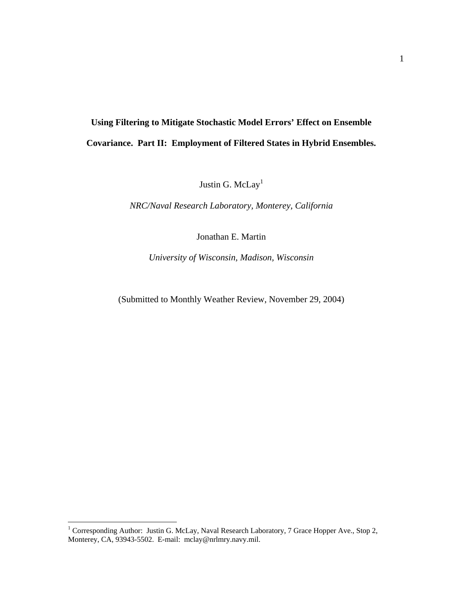# **Using Filtering to Mitigate Stochastic Model Errors' Effect on Ensemble Covariance. Part II: Employment of Filtered States in Hybrid Ensembles.**

Justin G. McLay<sup>1</sup>

*NRC/Naval Research Laboratory, Monterey, California* 

Jonathan E. Martin

*University of Wisconsin, Madison, Wisconsin* 

(Submitted to Monthly Weather Review, November 29, 2004)

<span id="page-0-0"></span><sup>1&</sup>lt;br>
<sup>1</sup> Corresponding Author: Justin G. McLay, Naval Research Laboratory, 7 Grace Hopper Ave., Stop 2, Monterey, CA, 93943-5502. E-mail: mclay@nrlmry.navy.mil.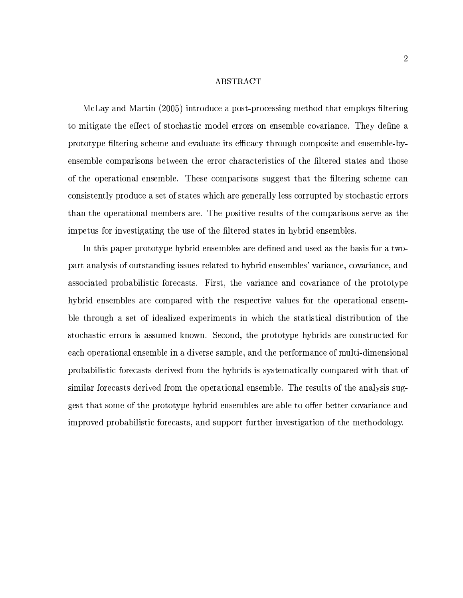### ABSTRACT

McLay and Martin (2005) introduce a post-processing method that employs filtering to mitigate the effect of stochastic model errors on ensemble covariance. They define a prototype filtering scheme and evaluate its efficacy through composite and ensemble-byensemble comparisons between the error characteristics of the filtered states and those of the operational ensemble. These comparisons suggest that the filtering scheme can consistently produce a set of states which are generally less corrupted by stochastic errors than the operational members are. The positive results of the comparisons serve as the impetus for investigating the use of the filtered states in hybrid ensembles.

In this paper prototype hybrid ensembles are defined and used as the basis for a twopart analysis of outstanding issues related to hybrid ensembles' variance, covariance, and associated probabilistic forecasts. First, the variance and covariance of the prototype hybrid ensembles are compared with the respective values for the operational ensemble through a set of idealized experiments in which the statistical distribution of the stochastic errors is assumed known. Second, the prototype hybrids are constructed for each operational ensemble in a diverse sample, and the performance of multi-dimensional probabilistic forecasts derived from the hybrids is systematically compared with that of similar forecasts derived from the operational ensemble. The results of the analysis suggest that some of the prototype hybrid ensembles are able to offer better covariance and improved probabilistic forecasts, and support further investigation of the methodology.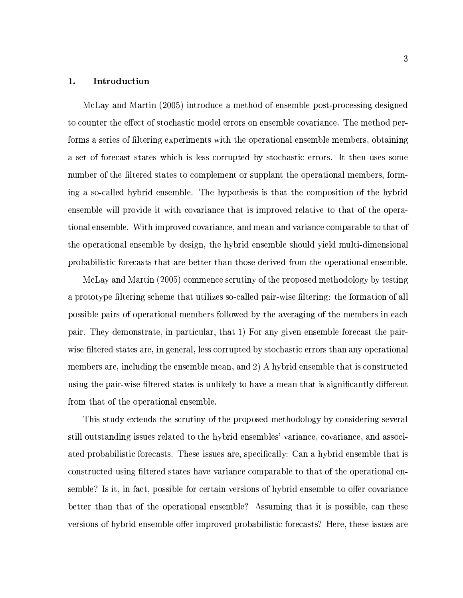#### Introduction 1.

McLay and Martin (2005) introduce a method of ensemble post-processing designed to counter the effect of stochastic model errors on ensemble covariance. The method performs a series of filtering experiments with the operational ensemble members, obtaining a set of forecast states which is less corrupted by stochastic errors. It then uses some number of the filtered states to complement or supplant the operational members, forming a so-called hybrid ensemble. The hypothesis is that the composition of the hybrid ensemble will provide it with covariance that is improved relative to that of the operational ensemble. With improved covariance, and mean and variance comparable to that of the operational ensemble by design, the hybrid ensemble should yield multi-dimensional probabilistic forecasts that are better than those derived from the operational ensemble.

McLay and Martin (2005) commence scrutiny of the proposed methodology by testing a prototype filtering scheme that utilizes so-called pair-wise filtering: the formation of all possible pairs of operational members followed by the averaging of the members in each pair. They demonstrate, in particular, that 1) For any given ensemble forecast the pairwise filtered states are, in general, less corrupted by stochastic errors than any operational members are, including the ensemble mean, and 2) A hybrid ensemble that is constructed using the pair-wise filtered states is unlikely to have a mean that is significantly different from that of the operational ensemble.

This study extends the scrutiny of the proposed methodology by considering several still outstanding issues related to the hybrid ensembles' variance, covariance, and associated probabilistic forecasts. These issues are, specifically: Can a hybrid ensemble that is constructed using filtered states have variance comparable to that of the operational ensemble? Is it, in fact, possible for certain versions of hybrid ensemble to offer covariance better than that of the operational ensemble? Assuming that it is possible, can these versions of hybrid ensemble offer improved probabilistic forecasts? Here, these issues are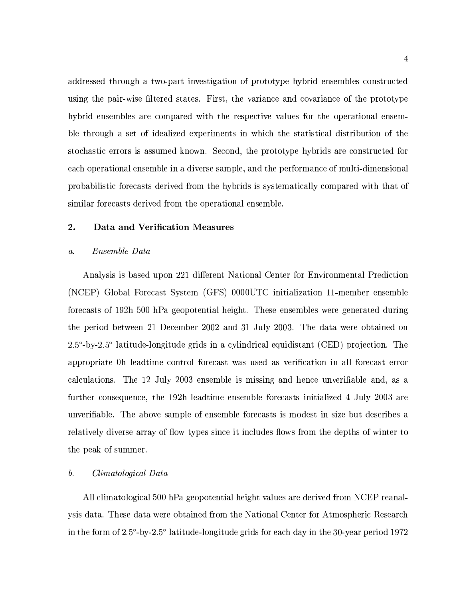addressed through a two-part investigation of prototype hybrid ensembles constructed using the pair-wise filtered states. First, the variance and covariance of the prototype hybrid ensembles are compared with the respective values for the operational ensemble through a set of idealized experiments in which the statistical distribution of the stochastic errors is assumed known. Second, the prototype hybrids are constructed for each operational ensemble in a diverse sample, and the performance of multi-dimensional probabilistic forecasts derived from the hybrids is systematically compared with that of similar forecasts derived from the operational ensemble.

#### 2. Data and Verification Measures

#### Ensemble Data  $\mathfrak{a}.$

Analysis is based upon 221 different National Center for Environmental Prediction (NCEP) Global Forecast System (GFS) 0000UTC initialization 11-member ensemble forecasts of 192h 500 hPa geopotential height. These ensembles were generated during the period between 21 December 2002 and 31 July 2003. The data were obtained on  $2.5^{\circ}$ -by-2.5° latitude-longitude grids in a cylindrical equidistant (CED) projection. The appropriate 0h leadtime control forecast was used as verification in all forecast error calculations. The 12 July 2003 ensemble is missing and hence unverifiable and, as a further consequence, the 192h leadtime ensemble forecasts initialized 4 July 2003 are unverifiable. The above sample of ensemble forecasts is modest in size but describes a relatively diverse array of flow types since it includes flows from the depths of winter to the peak of summer.

#### Climatological Data  $\mathfrak{b}.$

All climatological 500 hPa geopotential height values are derived from NCEP reanalysis data. These data were obtained from the National Center for Atmospheric Research in the form of  $2.5^{\circ}$ -by- $2.5^{\circ}$  latitude-longitude grids for each day in the 30-year period 1972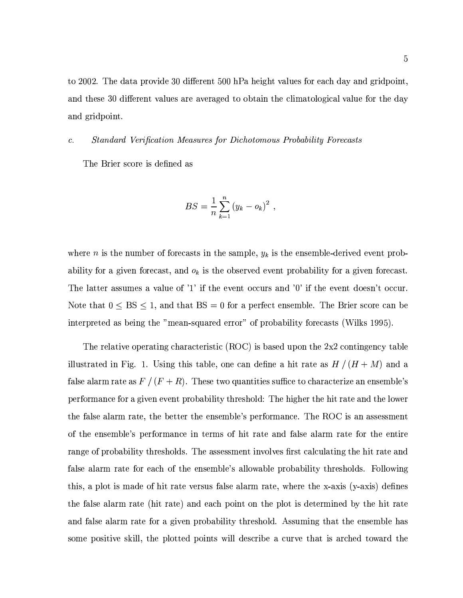to 2002. The data provide 30 different 500 hPa height values for each day and gridpoint, and these 30 different values are averaged to obtain the climatological value for the day and gridpoint.

#### Standard Verification Measures for Dichotomous Probability Forecasts  $\mathcal{C}$ .

The Brier score is defined as

$$
BS = \frac{1}{n} \sum_{k=1}^{n} (y_k - o_k)^2 ,
$$

where *n* is the number of forecasts in the sample,  $y_k$  is the ensemble-derived event probability for a given forecast, and  $o_k$  is the observed event probability for a given forecast. The latter assumes a value of '1' if the event occurs and '0' if the event doesn't occur. Note that  $0 \leq BS \leq 1$ , and that  $BS = 0$  for a perfect ensemble. The Brier score can be interpreted as being the "mean-squared error" of probability forecasts (Wilks 1995).

The relative operating characteristic (ROC) is based upon the  $2x2$  contingency table illustrated in Fig. 1. Using this table, one can define a hit rate as  $H/(H+M)$  and a false alarm rate as  $F/(F+R)$ . These two quantities suffice to characterize an ensemble's performance for a given event probability threshold: The higher the hit rate and the lower the false alarm rate, the better the ensemble's performance. The ROC is an assessment of the ensemble's performance in terms of hit rate and false alarm rate for the entire range of probability thresholds. The assessment involves first calculating the hit rate and false alarm rate for each of the ensemble's allowable probability thresholds. Following this, a plot is made of hit rate versus false alarm rate, where the x-axis (y-axis) defines the false alarm rate (hit rate) and each point on the plot is determined by the hit rate and false alarm rate for a given probability threshold. Assuming that the ensemble has some positive skill, the plotted points will describe a curve that is arched toward the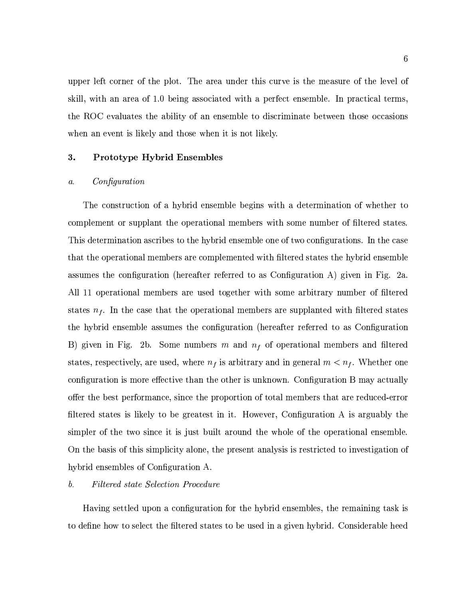upper left corner of the plot. The area under this curve is the measure of the level of skill, with an area of 1.0 being associated with a perfect ensemble. In practical terms. the ROC evaluates the ability of an ensemble to discriminate between those occasions when an event is likely and those when it is not likely.

#### 3. **Prototype Hybrid Ensembles**

#### $\overline{a}$ . Configuration

The construction of a hybrid ensemble begins with a determination of whether to complement or supplant the operational members with some number of filtered states. This determination ascribes to the hybrid ensemble one of two configurations. In the case that the operational members are complemented with filtered states the hybrid ensemble assumes the configuration (hereafter referred to as Configuration A) given in Fig. 2a. All 11 operational members are used together with some arbitrary number of filtered states  $n_f$ . In the case that the operational members are supplanted with filtered states the hybrid ensemble assumes the configuration (hereafter referred to as Configuration B) given in Fig. 2b. Some numbers m and  $n_f$  of operational members and filtered states, respectively, are used, where  $n_f$  is arbitrary and in general  $m < n_f$ . Whether one configuration is more effective than the other is unknown. Configuration B may actually offer the best performance, since the proportion of total members that are reduced-error filtered states is likely to be greatest in it. However, Configuration A is arguably the simpler of the two since it is just built around the whole of the operational ensemble. On the basis of this simplicity alone, the present analysis is restricted to investigation of hybrid ensembles of Configuration A.

#### $\mathfrak{b}.$ **Filtered state Selection Procedure**

Having settled upon a configuration for the hybrid ensembles, the remaining task is to define how to select the filtered states to be used in a given hybrid. Considerable heed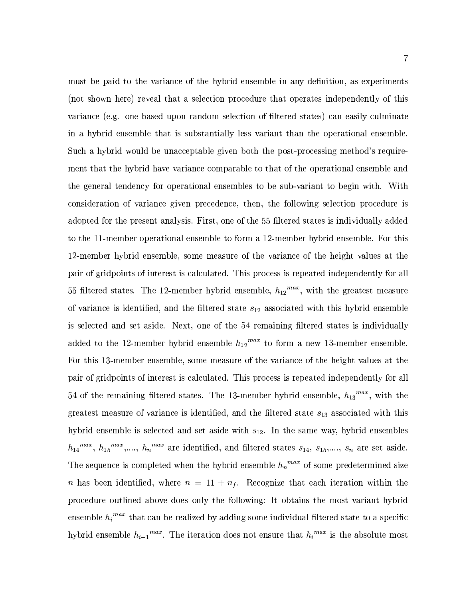must be paid to the variance of the hybrid ensemble in any definition, as experiments (not shown here) reveal that a selection procedure that operates independently of this variance (e.g. one based upon random selection of filtered states) can easily culminate in a hybrid ensemble that is substantially less variant than the operational ensemble. Such a hybrid would be unacceptable given both the post-processing method's requirement that the hybrid have variance comparable to that of the operational ensemble and the general tendency for operational ensembles to be sub-variant to begin with. With consideration of variance given precedence, then, the following selection procedure is adopted for the present analysis. First, one of the 55 filtered states is individually added to the 11-member operational ensemble to form a 12-member hybrid ensemble. For this 12-member hybrid ensemble, some measure of the variance of the height values at the pair of gridpoints of interest is calculated. This process is repeated independently for all 55 filtered states. The 12-member hybrid ensemble,  $h_{12}^{max}$ , with the greatest measure of variance is identified, and the filtered state  $s_{12}$  associated with this hybrid ensemble is selected and set aside. Next, one of the 54 remaining filtered states is individually added to the 12-member hybrid ensemble  $h_{12}^{max}$  to form a new 13-member ensemble. For this 13-member ensemble, some measure of the variance of the height values at the pair of gridpoints of interest is calculated. This process is repeated independently for all 54 of the remaining filtered states. The 13-member hybrid ensemble,  $h_{13}^{max}$ , with the greatest measure of variance is identified, and the filtered state  $s_{13}$  associated with this hybrid ensemble is selected and set aside with  $s_{12}$ . In the same way, hybrid ensembles  $h_{14}^{max}$ ,  $h_{15}^{max}$ ,...,  $h_n^{max}$  are identified, and filtered states  $s_{14}$ ,  $s_{15}$ ,...,  $s_n$  are set aside. The sequence is completed when the hybrid ensemble  $h_n^{max}$  of some predetermined size *n* has been identified, where  $n = 11 + n_f$ . Recognize that each iteration within the procedure outlined above does only the following: It obtains the most variant hybrid ensemble  $h_i^{max}$  that can be realized by adding some individual filtered state to a specific hybrid ensemble  $h_{i-1}^{max}$ . The iteration does not ensure that  $h_i^{max}$  is the absolute most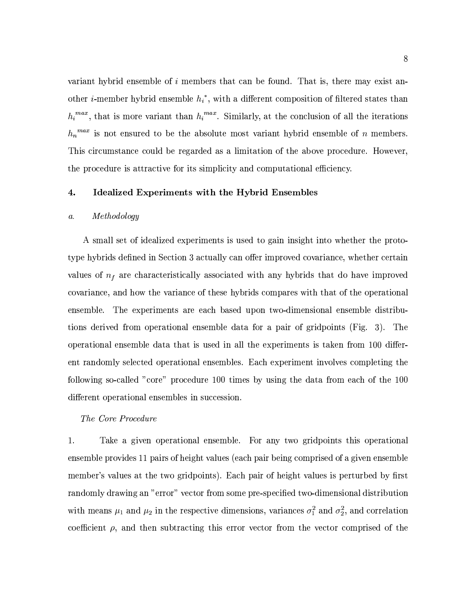variant hybrid ensemble of  $i$  members that can be found. That is, there may exist another *i*-member hybrid ensemble  $h_i^*$ , with a different composition of filtered states than  $h_i^{max}$ , that is more variant than  $h_i^{max}$ . Similarly, at the conclusion of all the iterations  $h_n^{max}$  is not ensured to be the absolute most variant hybrid ensemble of n members. This circumstance could be regarded as a limitation of the above procedure. However, the procedure is attractive for its simplicity and computational efficiency.

#### $\overline{4}$ . Idealized Experiments with the Hybrid Ensembles

#### $Methodology$  $\mathfrak{a}.$

A small set of idealized experiments is used to gain insight into whether the prototype hybrids defined in Section 3 actually can offer improved covariance, whether certain values of  $n_f$  are characteristically associated with any hybrids that do have improved covariance, and how the variance of these hybrids compares with that of the operational ensemble. The experiments are each based upon two-dimensional ensemble distributions derived from operational ensemble data for a pair of gridpoints (Fig. 3). The operational ensemble data that is used in all the experiments is taken from 100 different randomly selected operational ensembles. Each experiment involves completing the following so-called "core" procedure 100 times by using the data from each of the 100 different operational ensembles in succession.

### The Core Procedure

1. Take a given operational ensemble. For any two gridpoints this operational ensemble provides 11 pairs of height values (each pair being comprised of a given ensemble member's values at the two gridpoints). Each pair of height values is perturbed by first randomly drawing an "error" vector from some pre-specified two-dimensional distribution with means  $\mu_1$  and  $\mu_2$  in the respective dimensions, variances  $\sigma_1^2$  and  $\sigma_2^2$ , and correlation coefficient  $\rho$ , and then subtracting this error vector from the vector comprised of the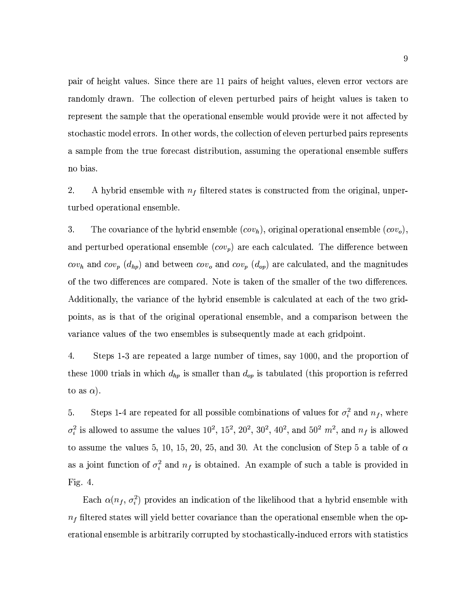pair of height values. Since there are 11 pairs of height values, eleven error vectors are randomly drawn. The collection of eleven perturbed pairs of height values is taken to represent the sample that the operational ensemble would provide were it not affected by stochastic model errors. In other words, the collection of eleven perturbed pairs represents a sample from the true forecast distribution, assuming the operational ensemble suffers no bias.

2. A hybrid ensemble with  $n_f$  filtered states is constructed from the original, unperturbed operational ensemble.

3. The covariance of the hybrid ensemble  $(cov_h)$ , original operational ensemble  $(cov_o)$ , and perturbed operational ensemble  $(cov_p)$  are each calculated. The difference between  $cov_h$  and  $cov_p(d_{hp})$  and between  $cov_o$  and  $cov_p(d_{op})$  are calculated, and the magnitudes of the two differences are compared. Note is taken of the smaller of the two differences. Additionally, the variance of the hybrid ensemble is calculated at each of the two gridpoints, as is that of the original operational ensemble, and a comparison between the variance values of the two ensembles is subsequently made at each gridpoint.

4. Steps 1-3 are repeated a large number of times, say 1000, and the proportion of these 1000 trials in which  $d_{hp}$  is smaller than  $d_{op}$  is tabulated (this proportion is referred to as  $\alpha$ ).

Steps 1-4 are repeated for all possible combinations of values for  $\sigma_i^2$  and  $n_f$ , where 5.  $\sigma_i^2$  is allowed to assume the values  $10^2$ ,  $15^2$ ,  $20^2$ ,  $30^2$ ,  $40^2$ , and  $50^2$   $m^2$ , and  $n_f$  is allowed to assume the values 5, 10, 15, 20, 25, and 30. At the conclusion of Step 5 a table of  $\alpha$ as a joint function of  $\sigma_i^2$  and  $n_f$  is obtained. An example of such a table is provided in Fig.  $4$ .

Each  $\alpha(n_f, \sigma_i^2)$  provides an indication of the likelihood that a hybrid ensemble with  $n<sub>f</sub>$  filtered states will yield better covariance than the operational ensemble when the operational ensemble is arbitrarily corrupted by stochastically-induced errors with statistics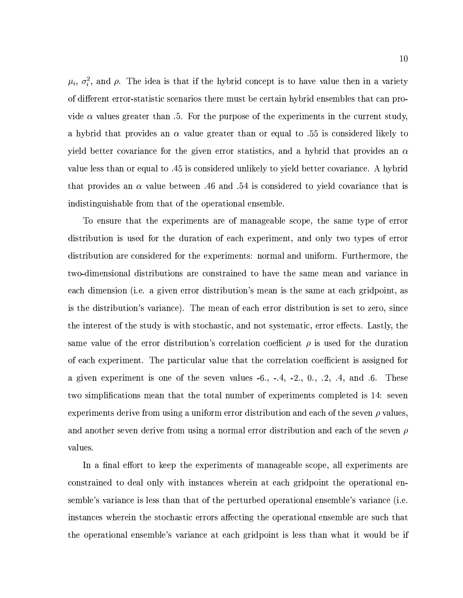$\mu_i$ ,  $\sigma_i^2$ , and  $\rho$ . The idea is that if the hybrid concept is to have value then in a variety of different error-statistic scenarios there must be certain hybrid ensembles that can provide  $\alpha$  values greater than .5. For the purpose of the experiments in the current study, a hybrid that provides an  $\alpha$  value greater than or equal to .55 is considered likely to yield better covariance for the given error statistics, and a hybrid that provides an  $\alpha$ value less than or equal to .45 is considered unlikely to yield better covariance. A hybrid that provides an  $\alpha$  value between .46 and .54 is considered to yield covariance that is indistinguishable from that of the operational ensemble.

To ensure that the experiments are of manageable scope, the same type of error distribution is used for the duration of each experiment, and only two types of error distribution are considered for the experiments: normal and uniform. Furthermore, the two-dimensional distributions are constrained to have the same mean and variance in each dimension (i.e. a given error distribution's mean is the same at each gridpoint, as is the distribution's variance). The mean of each error distribution is set to zero, since the interest of the study is with stochastic, and not systematic, error effects. Lastly, the same value of the error distribution's correlation coefficient  $\rho$  is used for the duration of each experiment. The particular value that the correlation coefficient is assigned for a given experiment is one of the seven values  $-6.$ ,  $-4$ ,  $-2.$ , 0.,  $.2$ ,  $.4$ , and  $.6$ . These two simplifications mean that the total number of experiments completed is 14: seven experiments derive from using a uniform error distribution and each of the seven  $\rho$  values. and another seven derive from using a normal error distribution and each of the seven  $\rho$ values.

In a final effort to keep the experiments of manageable scope, all experiments are constrained to deal only with instances wherein at each gridpoint the operational ensemble's variance is less than that of the perturbed operational ensemble's variance (i.e. instances wherein the stochastic errors affecting the operational ensemble are such that the operational ensemble's variance at each gridpoint is less than what it would be if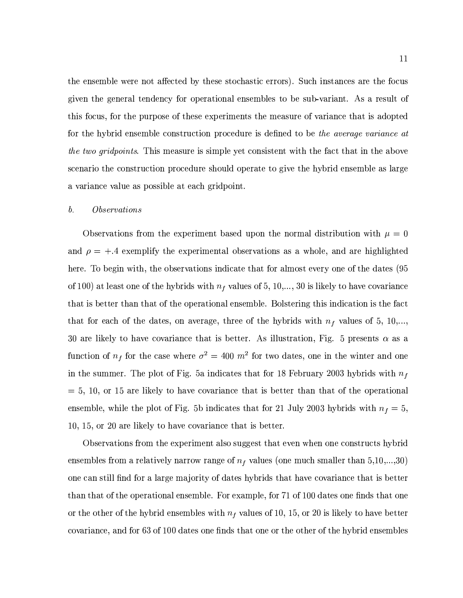the ensemble were not affected by these stochastic errors). Such instances are the focus given the general tendency for operational ensembles to be sub-variant. As a result of this focus, for the purpose of these experiments the measure of variance that is adopted for the hybrid ensemble construction procedure is defined to be the average variance at the two gridpoints. This measure is simple yet consistent with the fact that in the above scenario the construction procedure should operate to give the hybrid ensemble as large a variance value as possible at each gridpoint.

#### $\mathfrak{b}.$ *Observations*

Observations from the experiment based upon the normal distribution with  $\mu = 0$ and  $\rho = +.4$  exemplify the experimental observations as a whole, and are highlighted here. To begin with, the observations indicate that for almost every one of the dates (95 of 100) at least one of the hybrids with  $n_f$  values of 5, 10,..., 30 is likely to have covariance that is better than that of the operational ensemble. Bolstering this indication is the fact that for each of the dates, on average, three of the hybrids with  $n_f$  values of 5, 10,..., 30 are likely to have covariance that is better. As illustration, Fig. 5 presents  $\alpha$  as a function of  $n_f$  for the case where  $\sigma^2 = 400 \; m^2$  for two dates, one in the winter and one in the summer. The plot of Fig. 5a indicates that for 18 February 2003 hybrids with  $n_f$  $= 5, 10,$  or 15 are likely to have covariance that is better than that of the operational ensemble, while the plot of Fig. 5b indicates that for 21 July 2003 hybrids with  $n_f = 5$ , 10, 15, or 20 are likely to have covariance that is better.

Observations from the experiment also suggest that even when one constructs hybrid ensembles from a relatively narrow range of  $n_f$  values (one much smaller than 5,10,...,30) one can still find for a large majority of dates hybrids that have covariance that is better than that of the operational ensemble. For example, for 71 of 100 dates one finds that one or the other of the hybrid ensembles with  $n_f$  values of 10, 15, or 20 is likely to have better covariance, and for 63 of 100 dates one finds that one or the other of the hybrid ensembles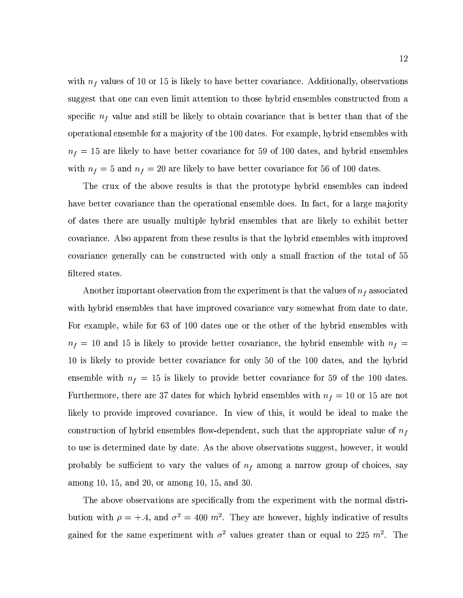with  $n_f$  values of 10 or 15 is likely to have better covariance. Additionally, observations suggest that one can even limit attention to those hybrid ensembles constructed from a specific  $n_f$  value and still be likely to obtain covariance that is better than that of the operational ensemble for a majority of the 100 dates. For example, hybrid ensembles with  $n_f = 15$  are likely to have better covariance for 59 of 100 dates, and hybrid ensembles with  $n_f = 5$  and  $n_f = 20$  are likely to have better covariance for 56 of 100 dates.

The crux of the above results is that the prototype hybrid ensembles can indeed have better covariance than the operational ensemble does. In fact, for a large majority of dates there are usually multiple hybrid ensembles that are likely to exhibit better covariance. Also apparent from these results is that the hybrid ensembles with improved covariance generally can be constructed with only a small fraction of the total of 55 filtered states.

Another important observation from the experiment is that the values of  $n_f$  associated with hybrid ensembles that have improved covariance vary somewhat from date to date. For example, while for 63 of 100 dates one or the other of the hybrid ensembles with  $n_f = 10$  and 15 is likely to provide better covariance, the hybrid ensemble with  $n_f =$ 10 is likely to provide better covariance for only 50 of the 100 dates, and the hybrid ensemble with  $n_f = 15$  is likely to provide better covariance for 59 of the 100 dates. Furthermore, there are 37 dates for which hybrid ensembles with  $n_f = 10$  or 15 are not likely to provide improved covariance. In view of this, it would be ideal to make the construction of hybrid ensembles flow-dependent, such that the appropriate value of  $n_f$ to use is determined date by date. As the above observations suggest, however, it would probably be sufficient to vary the values of  $n_f$  among a narrow group of choices, say among 10, 15, and 20, or among 10, 15, and 30.

The above observations are specifically from the experiment with the normal distribution with  $\rho = +.4$ , and  $\sigma^2 = 400$  m<sup>2</sup>. They are however, highly indicative of results gained for the same experiment with  $\sigma^2$  values greater than or equal to 225  $m^2$ . The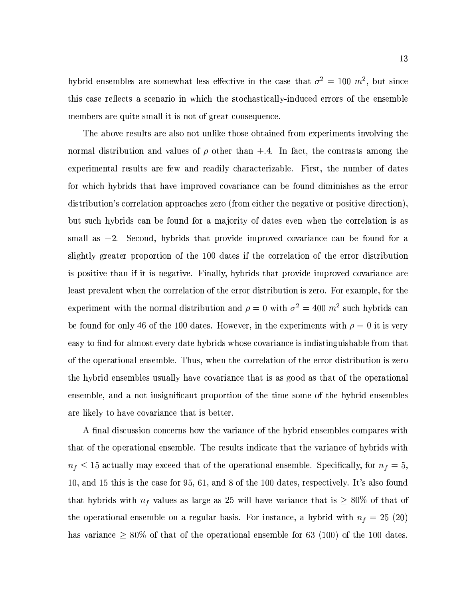hybrid ensembles are somewhat less effective in the case that  $\sigma^2 = 100$  m<sup>2</sup>, but since this case reflects a scenario in which the stochastically-induced errors of the ensemble members are quite small it is not of great consequence.

The above results are also not unlike those obtained from experiments involving the normal distribution and values of  $\rho$  other than  $+ .4$ . In fact, the contrasts among the experimental results are few and readily characterizable. First, the number of dates for which hybrids that have improved covariance can be found diminishes as the error distribution's correlation approaches zero (from either the negative or positive direction). but such hybrids can be found for a majority of dates even when the correlation is as small as  $\pm 2$ . Second, hybrids that provide improved covariance can be found for a slightly greater proportion of the 100 dates if the correlation of the error distribution is positive than if it is negative. Finally, hybrids that provide improved covariance are least prevalent when the correlation of the error distribution is zero. For example, for the experiment with the normal distribution and  $\rho = 0$  with  $\sigma^2 = 400$  m<sup>2</sup> such hybrids can be found for only 46 of the 100 dates. However, in the experiments with  $\rho = 0$  it is very easy to find for almost every date hybrids whose covariance is indistinguishable from that of the operational ensemble. Thus, when the correlation of the error distribution is zero the hybrid ensembles usually have covariance that is as good as that of the operational ensemble, and a not insignificant proportion of the time some of the hybrid ensembles are likely to have covariance that is better.

A final discussion concerns how the variance of the hybrid ensembles compares with that of the operational ensemble. The results indicate that the variance of hybrids with  $n_f \leq 15$  actually may exceed that of the operational ensemble. Specifically, for  $n_f = 5$ , 10, and 15 this is the case for 95, 61, and 8 of the 100 dates, respectively. It's also found that hybrids with  $n_f$  values as large as 25 will have variance that is  $\geq 80\%$  of that of the operational ensemble on a regular basis. For instance, a hybrid with  $n_f = 25$  (20) has variance  $\geq 80\%$  of that of the operational ensemble for 63 (100) of the 100 dates.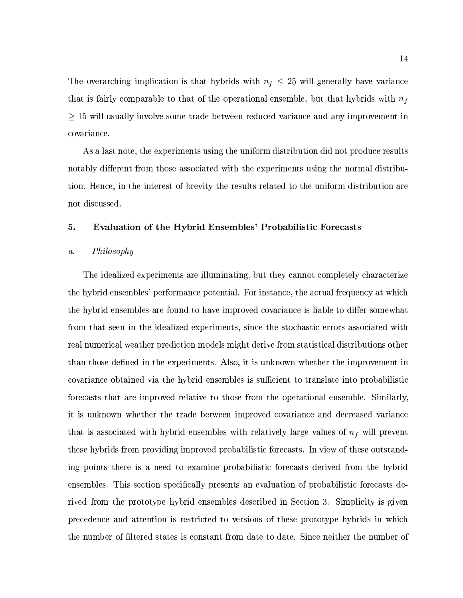The overarching implication is that hybrids with  $n_f \leq 25$  will generally have variance that is fairly comparable to that of the operational ensemble, but that hybrids with  $n_f$  $\geq$  15 will usually involve some trade between reduced variance and any improvement in covariance.

As a last note, the experiments using the uniform distribution did not produce results notably different from those associated with the experiments using the normal distribution. Hence, in the interest of brevity the results related to the uniform distribution are not discussed.

#### 5. **Evaluation of the Hybrid Ensembles' Probabilistic Forecasts**

#### Philosophy  $\mathfrak{a}.$

The idealized experiments are illuminating, but they cannot completely characterize the hybrid ensembles' performance potential. For instance, the actual frequency at which the hybrid ensembles are found to have improved covariance is liable to differ somewhat from that seen in the idealized experiments, since the stochastic errors associated with real numerical weather prediction models might derive from statistical distributions other than those defined in the experiments. Also, it is unknown whether the improvement in covariance obtained via the hybrid ensembles is sufficient to translate into probabilistic forecasts that are improved relative to those from the operational ensemble. Similarly, it is unknown whether the trade between improved covariance and decreased variance that is associated with hybrid ensembles with relatively large values of  $n_f$  will prevent these hybrids from providing improved probabilistic forecasts. In view of these outstanding points there is a need to examine probabilistic forecasts derived from the hybrid ensembles. This section specifically presents an evaluation of probabilistic forecasts derived from the prototype hybrid ensembles described in Section 3. Simplicity is given precedence and attention is restricted to versions of these prototype hybrids in which the number of filtered states is constant from date to date. Since neither the number of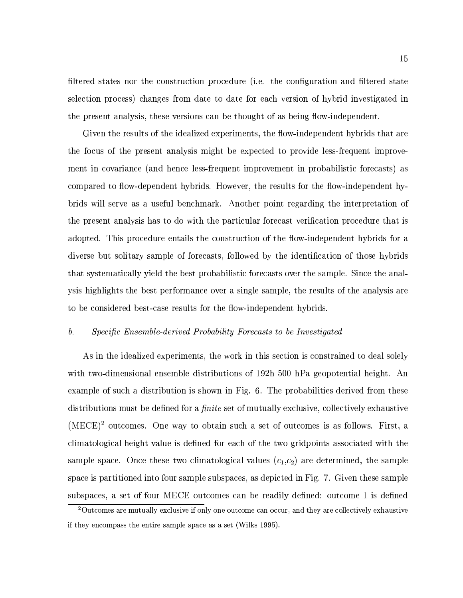filtered states nor the construction procedure (i.e. the configuration and filtered state selection process) changes from date to date for each version of hybrid investigated in the present analysis, these versions can be thought of as being flow-independent.

Given the results of the idealized experiments, the flow-independent hybrids that are the focus of the present analysis might be expected to provide less-frequent improvement in covariance (and hence less-frequent improvement in probabilistic forecasts) as compared to flow-dependent hybrids. However, the results for the flow-independent hybrids will serve as a useful benchmark. Another point regarding the interpretation of the present analysis has to do with the particular forecast verification procedure that is adopted. This procedure entails the construction of the flow-independent hybrids for a diverse but solitary sample of forecasts, followed by the identification of those hybrids that systematically yield the best probabilistic forecasts over the sample. Since the analysis highlights the best performance over a single sample, the results of the analysis are to be considered best-case results for the flow-independent hybrids.

#### Specific Ensemble-derived Probability Forecasts to be Investigated  $b$ .

As in the idealized experiments, the work in this section is constrained to deal solely with two-dimensional ensemble distributions of 192h 500 hPa geopotential height. An example of such a distribution is shown in Fig. 6. The probabilities derived from these distributions must be defined for a *finite* set of mutually exclusive, collectively exhaustive (MECE)<sup>2</sup> outcomes. One way to obtain such a set of outcomes is as follows. First, a climatological height value is defined for each of the two gridpoints associated with the sample space. Once these two climatological values  $(c_1, c_2)$  are determined, the sample space is partitioned into four sample subspaces, as depicted in Fig. 7. Given these sample subspaces, a set of four MECE outcomes can be readily defined: outcome 1 is defined

 $2$ Outcomes are mutually exclusive if only one outcome can occur, and they are collectively exhaustive if they encompass the entire sample space as a set (Wilks 1995).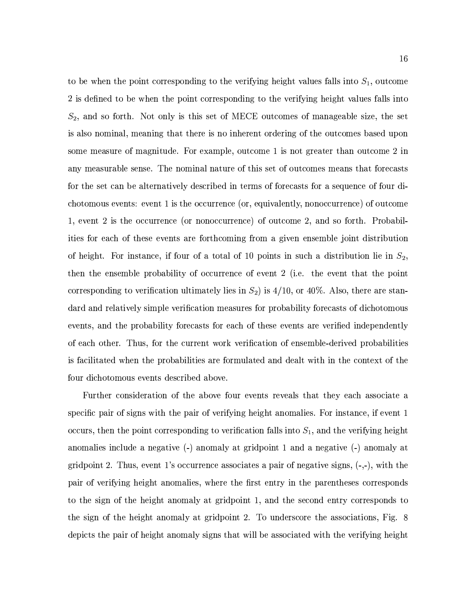to be when the point corresponding to the verifying height values falls into  $S_1$ , outcome 2 is defined to be when the point corresponding to the verifying height values falls into  $S_2$ , and so forth. Not only is this set of MECE outcomes of manageable size, the set is also nominal, meaning that there is no inherent ordering of the outcomes based upon some measure of magnitude. For example, outcome 1 is not greater than outcome 2 in any measurable sense. The nominal nature of this set of outcomes means that forecasts for the set can be alternatively described in terms of forecasts for a sequence of four dichotomous events: event 1 is the occurrence (or, equivalently, nonoccurrence) of outcome 1, event 2 is the occurrence (or nonoccurrence) of outcome 2, and so forth. Probabilities for each of these events are forthcoming from a given ensemble joint distribution of height. For instance, if four of a total of 10 points in such a distribution lie in  $S_2$ , then the ensemble probability of occurrence of event 2 (i.e. the event that the point corresponding to verification ultimately lies in  $S_2$ ) is 4/10, or 40%. Also, there are standard and relatively simple verification measures for probability forecasts of dichotomous events, and the probability forecasts for each of these events are verified independently of each other. Thus, for the current work verification of ensemble-derived probabilities is facilitated when the probabilities are formulated and dealt with in the context of the four dichotomous events described above.

Further consideration of the above four events reveals that they each associate a specific pair of signs with the pair of verifying height anomalies. For instance, if event 1 occurs, then the point corresponding to verification falls into  $S_1$ , and the verifying height anomalies include a negative (-) anomaly at gridpoint 1 and a negative (-) anomaly at gridpoint 2. Thus, event 1's occurrence associates a pair of negative signs,  $(-, -)$ , with the pair of verifying height anomalies, where the first entry in the parentheses corresponds to the sign of the height anomaly at gridpoint 1, and the second entry corresponds to the sign of the height anomaly at gridpoint 2. To underscore the associations, Fig. 8 depicts the pair of height anomaly signs that will be associated with the verifying height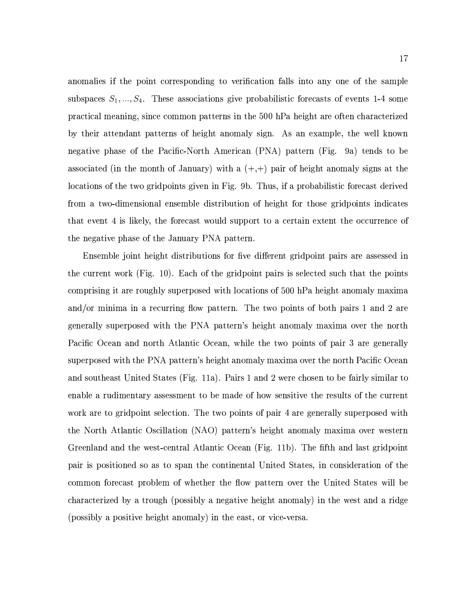anomalies if the point corresponding to verification falls into any one of the sample subspaces  $S_1, ..., S_4$ . These associations give probabilistic forecasts of events 1-4 some practical meaning, since common patterns in the 500 hPa height are often characterized by their attendant patterns of height anomaly sign. As an example, the well known negative phase of the Pacific-North American (PNA) pattern (Fig. 9a) tends to be associated (in the month of January) with a  $(+,+)$  pair of height anomaly signs at the locations of the two gridpoints given in Fig. 9b. Thus, if a probabilistic forecast derived from a two-dimensional ensemble distribution of height for those gridpoints indicates that event 4 is likely, the forecast would support to a certain extent the occurrence of the negative phase of the January PNA pattern.

Ensemble joint height distributions for five different gridpoint pairs are assessed in the current work (Fig. 10). Each of the gridpoint pairs is selected such that the points comprising it are roughly superposed with locations of 500 hPa height anomaly maxima and/or minima in a recurring flow pattern. The two points of both pairs 1 and 2 are generally superposed with the PNA pattern's height anomaly maxima over the north Pacific Ocean and north Atlantic Ocean, while the two points of pair 3 are generally superposed with the PNA pattern's height anomaly maxima over the north Pacific Ocean and southeast United States (Fig. 11a). Pairs 1 and 2 were chosen to be fairly similar to enable a rudimentary assessment to be made of how sensitive the results of the current work are to gridpoint selection. The two points of pair 4 are generally superposed with the North Atlantic Oscillation (NAO) pattern's height anomaly maxima over western Greenland and the west-central Atlantic Ocean (Fig. 11b). The fifth and last gridpoint pair is positioned so as to span the continental United States, in consideration of the common forecast problem of whether the flow pattern over the United States will be characterized by a trough (possibly a negative height anomaly) in the west and a ridge (possibly a positive height anomaly) in the east, or vice-versa.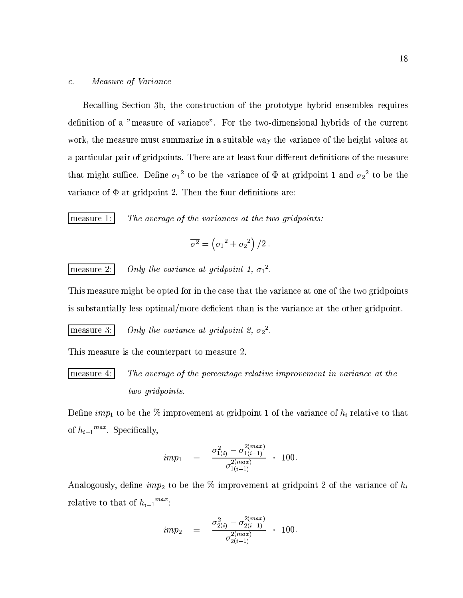#### $\boldsymbol{c}$  . Measure of Variance

Recalling Section 3b, the construction of the prototype hybrid ensembles requires definition of a "measure of variance". For the two-dimensional hybrids of the current work, the measure must summarize in a suitable way the variance of the height values at a particular pair of gridpoints. There are at least four different definitions of the measure that might suffice. Define  $\sigma_1^2$  to be the variance of  $\Phi$  at gridpoint 1 and  $\sigma_2^2$  to be the variance of  $\Phi$  at gridpoint 2. Then the four definitions are:

measure 1:

The average of the variances at the two gridpoints:

$$
\overline{\sigma^2} = \left(\sigma_1^2 + \sigma_2^2\right)/2
$$

measure 2:

Only the variance at gridpoint 1,  $\sigma_1^2$ .

This measure might be opted for in the case that the variance at one of the two gridpoints is substantially less optimal/more deficient than is the variance at the other gridpoint.

Only the variance at gridpoint 2,  $\sigma_2^2$ . measure 3:

This measure is the counterpart to measure 2.

measure  $4:$ The average of the percentage relative improvement in variance at the two gridpoints.

Define  $imp_1$  to be the % improvement at gridpoint 1 of the variance of  $h_i$  relative to that of  $h_{i-1}^{max}$ . Specifically,

$$
imp_1 = \frac{\sigma_{1(i)}^2 - \sigma_{1(i-1)}^{2(max)}}{\sigma_{1(i-1)}^{2(max)}} \quad . \quad 100.
$$

Analogously, define  $imp_2$  to be the % improvement at gridpoint 2 of the variance of  $h_i$ relative to that of  $h_{i-1}^{max}$ .

$$
imp_2 = \frac{\sigma_{2(i)}^2 - \sigma_{2(i-1)}^{2(max)}}{\sigma_{2(i-1)}^{2(max)}} \cdot 100.
$$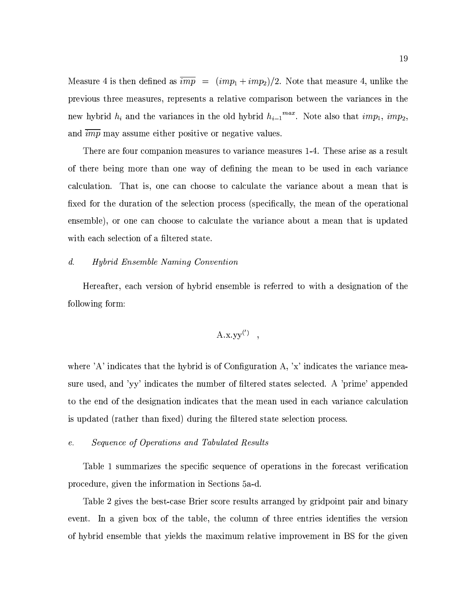Measure 4 is then defined as  $\overline{imp} = (imp_1 + imp_2)/2$ . Note that measure 4, unlike the previous three measures, represents a relative comparison between the variances in the new hybrid  $h_i$  and the variances in the old hybrid  $h_{i-1}^{max}$ . Note also that  $imp_1$ ,  $imp_2$ , and  $\overline{imp}$  may assume either positive or negative values.

There are four companion measures to variance measures 1-4. These arise as a result of there being more than one way of defining the mean to be used in each variance calculation. That is, one can choose to calculate the variance about a mean that is fixed for the duration of the selection process (specifically, the mean of the operational ensemble), or one can choose to calculate the variance about a mean that is updated with each selection of a filtered state.

#### $d.$ *Hybrid Ensemble Naming Convention*

Hereafter, each version of hybrid ensemble is referred to with a designation of the following form:

$$
A.x.yy^{(')}
$$

where 'A' indicates that the hybrid is of Configuration A, 'x' indicates the variance measure used, and 'yy' indicates the number of filtered states selected. A 'prime' appended to the end of the designation indicates that the mean used in each variance calculation is updated (rather than fixed) during the filtered state selection process.

#### *Sequence of Operations and Tabulated Results*  $\mathfrak{e}.$

Table 1 summarizes the specific sequence of operations in the forecast verification procedure, given the information in Sections 5a-d.

Table 2 gives the best-case Brier score results arranged by gridpoint pair and binary event. In a given box of the table, the column of three entries identifies the version of hybrid ensemble that yields the maximum relative improvement in BS for the given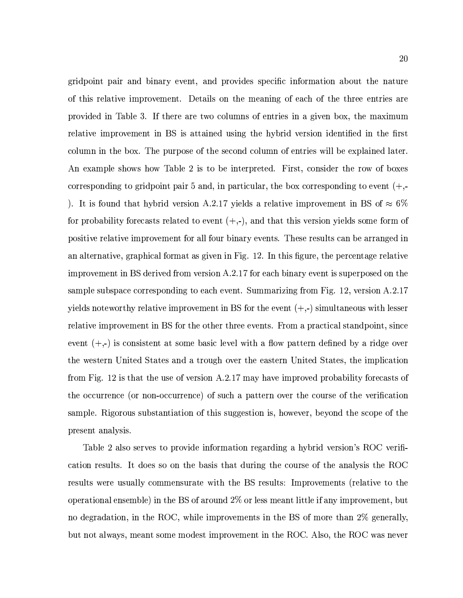gridpoint pair and binary event, and provides specific information about the nature of this relative improvement. Details on the meaning of each of the three entries are provided in Table 3. If there are two columns of entries in a given box, the maximum relative improvement in BS is attained using the hybrid version identified in the first column in the box. The purpose of the second column of entries will be explained later. An example shows how Table 2 is to be interpreted. First, consider the row of boxes corresponding to gridpoint pair 5 and, in particular, the box corresponding to event  $(+, -)$ ). It is found that hybrid version A.2.17 yields a relative improvement in BS of  $\approx 6\%$ for probability forecasts related to event  $(+,-)$ , and that this version yields some form of positive relative improvement for all four binary events. These results can be arranged in an alternative, graphical format as given in Fig. 12. In this figure, the percentage relative improvement in BS derived from version A.2.17 for each binary event is superposed on the sample subspace corresponding to each event. Summarizing from Fig. 12, version A.2.17 yields noteworthy relative improvement in BS for the event  $(+, -)$  simultaneous with lesser relative improvement in BS for the other three events. From a practical standpoint, since event  $(+,-)$  is consistent at some basic level with a flow pattern defined by a ridge over the western United States and a trough over the eastern United States, the implication from Fig. 12 is that the use of version  $A.2.17$  may have improved probability forecasts of the occurrence (or non-occurrence) of such a pattern over the course of the verification sample. Rigorous substantiation of this suggestion is, however, beyond the scope of the present analysis.

Table 2 also serves to provide information regarding a hybrid version's ROC verification results. It does so on the basis that during the course of the analysis the ROC results were usually commensurate with the BS results: Improvements (relative to the operational ensemble) in the BS of around  $2\%$  or less meant little if any improvement, but no degradation, in the ROC, while improvements in the BS of more than 2% generally, but not always, meant some modest improvement in the ROC. Also, the ROC was never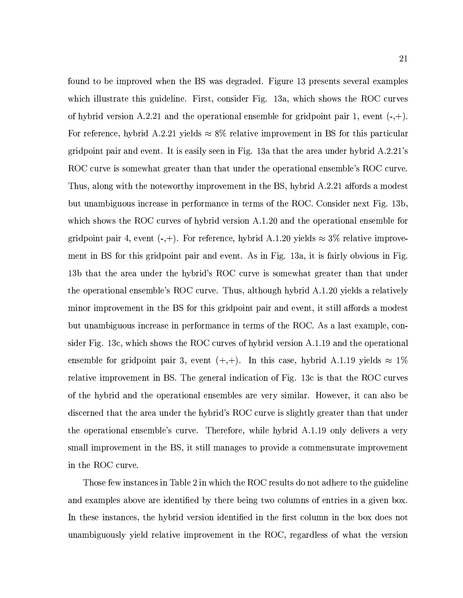found to be improved when the BS was degraded. Figure 13 presents several examples which illustrate this guideline. First, consider Fig. 13a, which shows the ROC curves of hybrid version A.2.21 and the operational ensemble for gridpoint pair 1, event  $(-,+)$ . For reference, hybrid A.2.21 yields  $\approx 8\%$  relative improvement in BS for this particular gridpoint pair and event. It is easily seen in Fig. 13a that the area under hybrid A.2.21's ROC curve is somewhat greater than that under the operational ensemble's ROC curve. Thus, along with the noteworthy improvement in the BS, hybrid A.2.21 affords a modest but unambiguous increase in performance in terms of the ROC. Consider next Fig. 13b. which shows the ROC curves of hybrid version A.1.20 and the operational ensemble for gridpoint pair 4, event  $(-,+)$ . For reference, hybrid A.1.20 yields  $\approx 3\%$  relative improvement in BS for this gridpoint pair and event. As in Fig. 13a, it is fairly obvious in Fig. 13b that the area under the hybrid's ROC curve is somewhat greater than that under the operational ensemble's ROC curve. Thus, although hybrid A.1.20 yields a relatively minor improvement in the BS for this gridpoint pair and event, it still affords a modest but unambiguous increase in performance in terms of the ROC. As a last example, consider Fig. 13c, which shows the ROC curves of hybrid version A.1.19 and the operational ensemble for gridpoint pair 3, event  $(+,+)$ . In this case, hybrid A.1.19 yields  $\approx 1\%$ relative improvement in BS. The general indication of Fig. 13c is that the ROC curves of the hybrid and the operational ensembles are very similar. However, it can also be discerned that the area under the hybrid's ROC curve is slightly greater than that under the operational ensemble's curve. Therefore, while hybrid A.1.19 only delivers a very small improvement in the BS, it still manages to provide a commensurate improvement in the ROC curve.

Those few instances in Table 2 in which the ROC results do not adhere to the guideline and examples above are identified by there being two columns of entries in a given box. In these instances, the hybrid version identified in the first column in the box does not unambiguously yield relative improvement in the ROC, regardless of what the version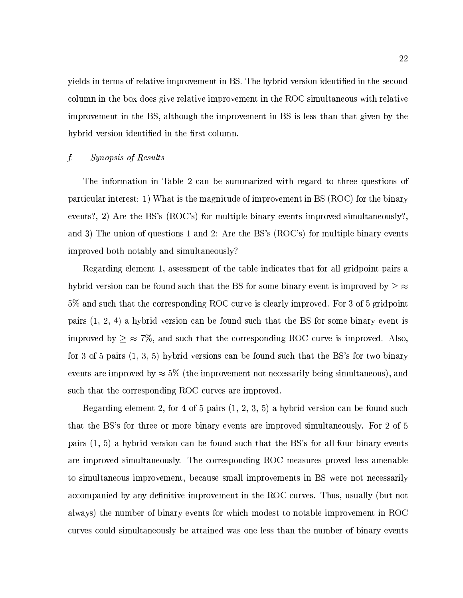yields in terms of relative improvement in BS. The hybrid version identified in the second column in the box does give relative improvement in the ROC simultaneous with relative improvement in the BS, although the improvement in BS is less than that given by the hybrid version identified in the first column.

#### $\int$ . *Synopsis of Results*

The information in Table 2 can be summarized with regard to three questions of particular interest: 1) What is the magnitude of improvement in BS (ROC) for the binary events?, 2) Are the BS's (ROC's) for multiple binary events improved simultaneously?. and 3) The union of questions 1 and 2: Are the BS's (ROC's) for multiple binary events improved both notably and simultaneously?

Regarding element 1, assessment of the table indicates that for all gridpoint pairs a hybrid version can be found such that the BS for some binary event is improved by  $\geq \infty$ 5% and such that the corresponding ROC curve is clearly improved. For 3 of 5 gridpoint pairs  $(1, 2, 4)$  a hybrid version can be found such that the BS for some binary event is improved by  $\geq \approx 7\%$ , and such that the corresponding ROC curve is improved. Also, for 3 of 5 pairs  $(1, 3, 5)$  hybrid versions can be found such that the BS's for two binary events are improved by  $\approx 5\%$  (the improvement not necessarily being simultaneous), and such that the corresponding ROC curves are improved.

Regarding element 2, for 4 of 5 pairs (1, 2, 3, 5) a hybrid version can be found such that the BS's for three or more binary events are improved simultaneously. For 2 of 5 pairs  $(1, 5)$  a hybrid version can be found such that the BS's for all four binary events are improved simultaneously. The corresponding ROC measures proved less amenable to simultaneous improvement, because small improvements in BS were not necessarily accompanied by any definitive improvement in the ROC curves. Thus, usually (but not always) the number of binary events for which modest to notable improvement in ROC curves could simultaneously be attained was one less than the number of binary events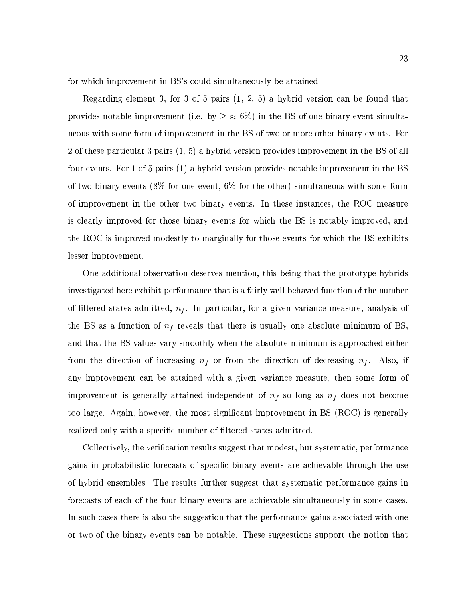for which improvement in BS's could simultaneously be attained.

Regarding element 3, for 3 of 5 pairs  $(1, 2, 5)$  a hybrid version can be found that provides notable improvement (i.e. by  $\geq \infty$  6%) in the BS of one binary event simultaneous with some form of improvement in the BS of two or more other binary events. For 2 of these particular 3 pairs (1, 5) a hybrid version provides improvement in the BS of all four events. For 1 of 5 pairs (1) a hybrid version provides notable improvement in the BS of two binary events  $(8\%$  for one event,  $6\%$  for the other) simultaneous with some form of improvement in the other two binary events. In these instances, the ROC measure is clearly improved for those binary events for which the BS is notably improved, and the ROC is improved modestly to marginally for those events for which the BS exhibits lesser improvement.

One additional observation deserves mention, this being that the prototype hybrids investigated here exhibit performance that is a fairly well behaved function of the number of filtered states admitted,  $n_f$ . In particular, for a given variance measure, analysis of the BS as a function of  $n_f$  reveals that there is usually one absolute minimum of BS. and that the BS values vary smoothly when the absolute minimum is approached either from the direction of increasing  $n_f$  or from the direction of decreasing  $n_f$ . Also, if any improvement can be attained with a given variance measure, then some form of improvement is generally attained independent of  $n_f$  so long as  $n_f$  does not become too large. Again, however, the most significant improvement in BS (ROC) is generally realized only with a specific number of filtered states admitted.

Collectively, the verification results suggest that modest, but systematic, performance gains in probabilistic forecasts of specific binary events are achievable through the use of hybrid ensembles. The results further suggest that systematic performance gains in forecasts of each of the four binary events are achievable simultaneously in some cases. In such cases there is also the suggestion that the performance gains associated with one or two of the binary events can be notable. These suggestions support the notion that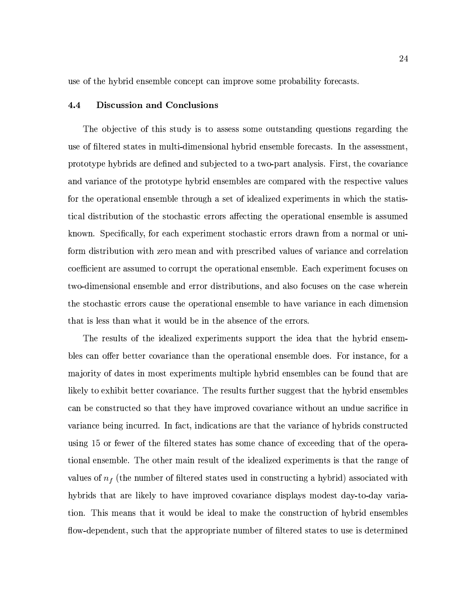use of the hybrid ensemble concept can improve some probability forecasts.

#### $4.4$ **Discussion and Conclusions**

The objective of this study is to assess some outstanding questions regarding the use of filtered states in multi-dimensional hybrid ensemble forecasts. In the assessment, prototype hybrids are defined and subjected to a two-part analysis. First, the covariance and variance of the prototype hybrid ensembles are compared with the respective values for the operational ensemble through a set of idealized experiments in which the statistical distribution of the stochastic errors affecting the operational ensemble is assumed known. Specifically, for each experiment stochastic errors drawn from a normal or uniform distribution with zero mean and with prescribed values of variance and correlation coefficient are assumed to corrupt the operational ensemble. Each experiment focuses on two-dimensional ensemble and error distributions, and also focuses on the case wherein the stochastic errors cause the operational ensemble to have variance in each dimension that is less than what it would be in the absence of the errors.

The results of the idealized experiments support the idea that the hybrid ensembles can offer better covariance than the operational ensemble does. For instance, for a majority of dates in most experiments multiple hybrid ensembles can be found that are likely to exhibit better covariance. The results further suggest that the hybrid ensembles can be constructed so that they have improved covariance without an undue sacrifice in variance being incurred. In fact, indications are that the variance of hybrids constructed using 15 or fewer of the filtered states has some chance of exceeding that of the operational ensemble. The other main result of the idealized experiments is that the range of values of  $n_f$  (the number of filtered states used in constructing a hybrid) associated with hybrids that are likely to have improved covariance displays modest day-to-day variation. This means that it would be ideal to make the construction of hybrid ensembles flow-dependent, such that the appropriate number of filtered states to use is determined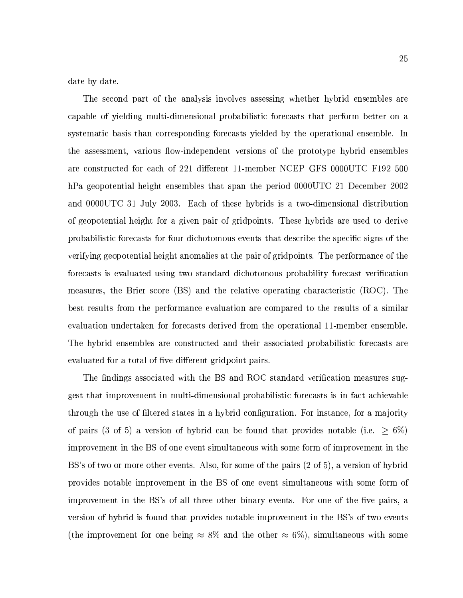date by date.

The second part of the analysis involves assessing whether hybrid ensembles are capable of yielding multi-dimensional probabilistic forecasts that perform better on a systematic basis than corresponding forecasts yielded by the operational ensemble. In the assessment, various flow-independent versions of the prototype hybrid ensembles are constructed for each of 221 different 11-member NCEP GFS 0000UTC F192 500 hPa geopotential height ensembles that span the period 0000UTC 21 December 2002 and 0000UTC 31 July 2003. Each of these hybrids is a two-dimensional distribution of geopotential height for a given pair of gridpoints. These hybrids are used to derive probabilistic forecasts for four dichotomous events that describe the specific signs of the verifying geopotential height anomalies at the pair of gridpoints. The performance of the forecasts is evaluated using two standard dichotomous probability forecast verification measures, the Brier score (BS) and the relative operating characteristic (ROC). The best results from the performance evaluation are compared to the results of a similar evaluation undertaken for forecasts derived from the operational 11-member ensemble. The hybrid ensembles are constructed and their associated probabilistic forecasts are evaluated for a total of five different gridpoint pairs.

The findings associated with the BS and ROC standard verification measures suggest that improvement in multi-dimensional probabilistic forecasts is in fact achievable through the use of filtered states in a hybrid configuration. For instance, for a majority of pairs (3 of 5) a version of hybrid can be found that provides notable (i.e.  $\geq 6\%$ ) improvement in the BS of one event simultaneous with some form of improvement in the BS's of two or more other events. Also, for some of the pairs (2 of 5), a version of hybrid provides notable improvement in the BS of one event simultaneous with some form of improvement in the BS's of all three other binary events. For one of the five pairs, a version of hybrid is found that provides notable improvement in the BS's of two events (the improvement for one being  $\approx 8\%$  and the other  $\approx 6\%$ ), simultaneous with some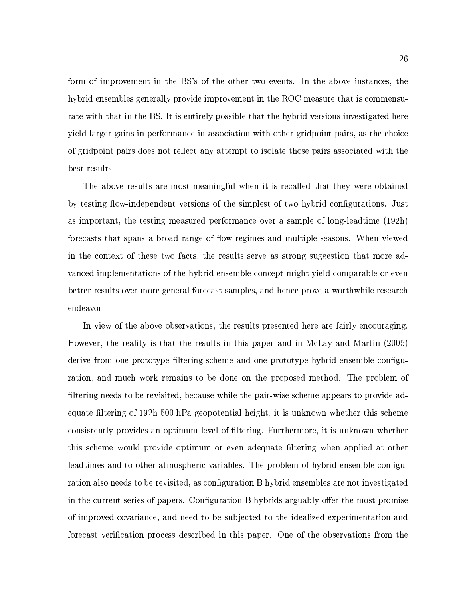form of improvement in the BS's of the other two events. In the above instances, the hybrid ensembles generally provide improvement in the ROC measure that is commensurate with that in the BS. It is entirely possible that the hybrid versions investigated here yield larger gains in performance in association with other gridpoint pairs, as the choice of gridpoint pairs does not reflect any attempt to isolate those pairs associated with the best results.

The above results are most meaningful when it is recalled that they were obtained by testing flow-independent versions of the simplest of two hybrid configurations. Just as important, the testing measured performance over a sample of long-leadtime (192h) forecasts that spans a broad range of flow regimes and multiple seasons. When viewed in the context of these two facts, the results serve as strong suggestion that more advanced implementations of the hybrid ensemble concept might yield comparable or even better results over more general forecast samples, and hence prove a worthwhile research endeavor.

In view of the above observations, the results presented here are fairly encouraging. However, the reality is that the results in this paper and in McLay and Martin (2005) derive from one prototype filtering scheme and one prototype hybrid ensemble configuration, and much work remains to be done on the proposed method. The problem of filtering needs to be revisited, because while the pair-wise scheme appears to provide adequate filtering of 192h 500 hPa geopotential height, it is unknown whether this scheme consistently provides an optimum level of filtering. Furthermore, it is unknown whether this scheme would provide optimum or even adequate filtering when applied at other leadtimes and to other atmospheric variables. The problem of hybrid ensemble configuration also needs to be revisited, as configuration B hybrid ensembles are not investigated in the current series of papers. Configuration B hybrids arguably offer the most promise of improved covariance, and need to be subjected to the idealized experimentation and forecast verification process described in this paper. One of the observations from the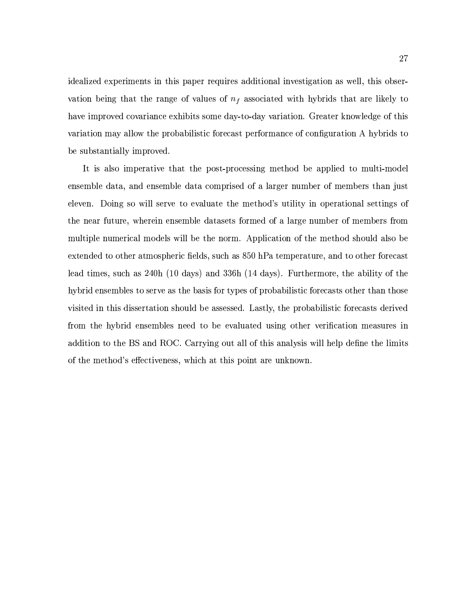idealized experiments in this paper requires additional investigation as well, this observation being that the range of values of  $n_f$  associated with hybrids that are likely to have improved covariance exhibits some day-to-day variation. Greater knowledge of this variation may allow the probabilistic forecast performance of configuration A hybrids to be substantially improved.

It is also imperative that the post-processing method be applied to multi-model ensemble data, and ensemble data comprised of a larger number of members than just eleven. Doing so will serve to evaluate the method's utility in operational settings of the near future, wherein ensemble datasets formed of a large number of members from multiple numerical models will be the norm. Application of the method should also be extended to other atmospheric fields, such as 850 hPa temperature, and to other forecast lead times, such as 240h (10 days) and 336h (14 days). Furthermore, the ability of the hybrid ensembles to serve as the basis for types of probabilistic forecasts other than those visited in this dissertation should be assessed. Lastly, the probabilistic forecasts derived from the hybrid ensembles need to be evaluated using other verification measures in addition to the BS and ROC. Carrying out all of this analysis will help define the limits of the method's effectiveness, which at this point are unknown.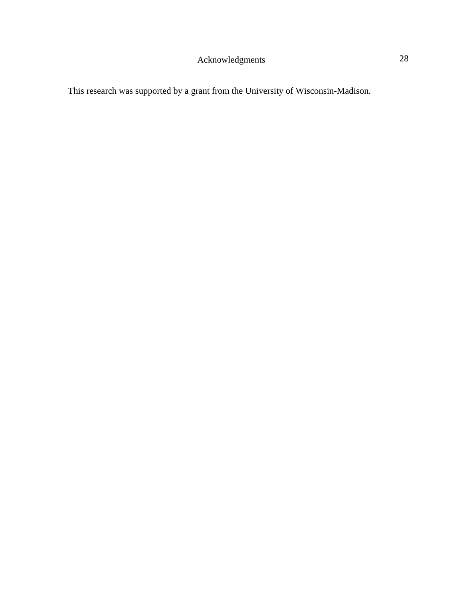This research was supported by a grant from the University of Wisconsin-Madison.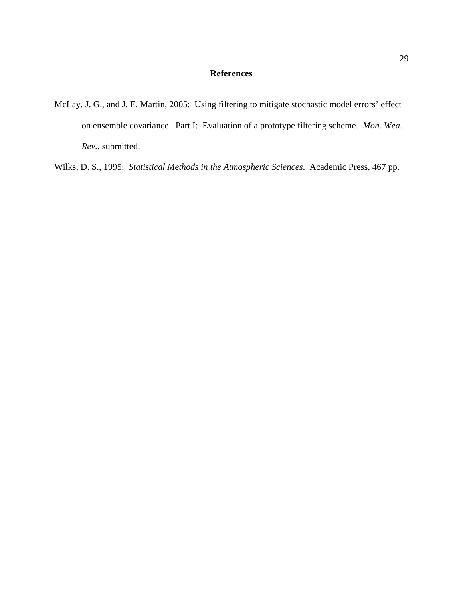## **References**

McLay, J. G., and J. E. Martin, 2005: Using filtering to mitigate stochastic model errors' effect on ensemble covariance. Part I: Evaluation of a prototype filtering scheme. *Mon. Wea. Rev.*, submitted.

Wilks, D. S., 1995: *Statistical Methods in the Atmospheric Sciences*. Academic Press, 467 pp.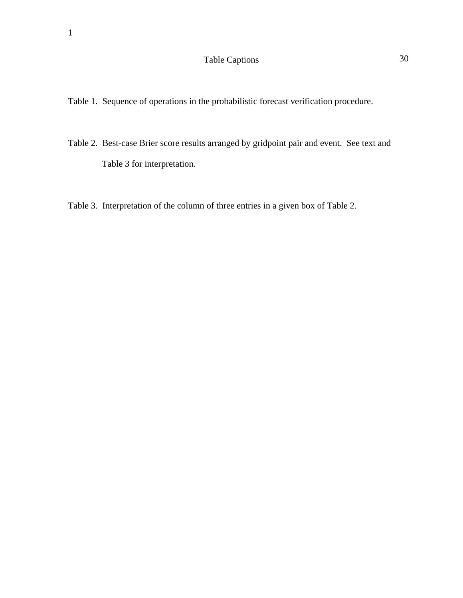# Table Captions 30

- Table 1. Sequence of operations in the probabilistic forecast verification procedure.
- Table 2. Best-case Brier score results arranged by gridpoint pair and event. See text and Table 3 for interpretation.
- Table 3. Interpretation of the column of three entries in a given box of Table 2.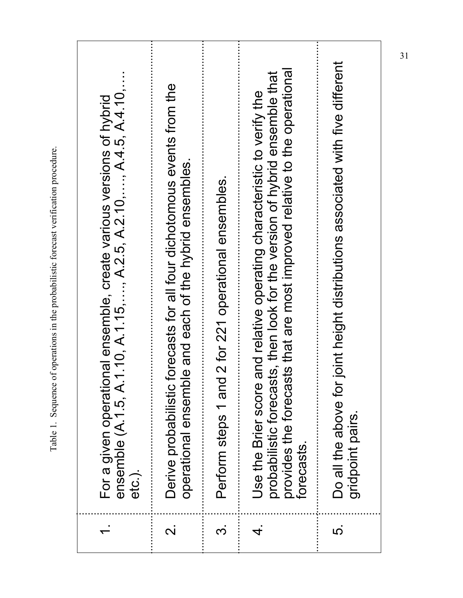|            | For a given operational ensemble, create various versions of hybrid<br>ensemble (A.1.5, A.1.10, A.1.15,, A.2.5, A.2.10,, A.4.5, A.4.10,<br>etc.).                                                                                                 |
|------------|---------------------------------------------------------------------------------------------------------------------------------------------------------------------------------------------------------------------------------------------------|
|            | Derive probabilistic forecasts for all four dichotomous events from the<br>operational ensemble and each of the hybrid ensembles                                                                                                                  |
| <u>က</u>   | 2 for 221 operational ensembles.<br>Perform steps 1 and                                                                                                                                                                                           |
|            | probabilistic forecasts, then look for the version of hybrid ensemble that<br>provides the forecasts that are most improved relative to the operationa<br>and relative operating characteristic to verify the<br>Use the Brier score<br>forecasts |
| <u> ເດ</u> | Do all the above for joint height distributions associated with five different<br>gridpoint pairs.                                                                                                                                                |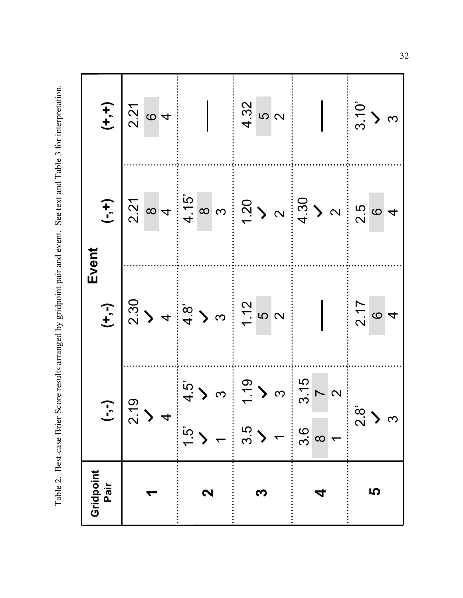Table 2. Best-case Brier Score results arranged by gridpoint pair and event. See text and Table 3 for interpretation. Table 2. Best-case Brier Score results arranged by gridpoint pair and event. See text and Table 3 for interpretation.

| Gridpoint<br>Pair | ヿ<br>ご                                                               |                                                                                                                                                                                                                                                                                                                                                                                                                          | Event                                                                                                                                                                                                                                                                                                               |                                                                  |
|-------------------|----------------------------------------------------------------------|--------------------------------------------------------------------------------------------------------------------------------------------------------------------------------------------------------------------------------------------------------------------------------------------------------------------------------------------------------------------------------------------------------------------------|---------------------------------------------------------------------------------------------------------------------------------------------------------------------------------------------------------------------------------------------------------------------------------------------------------------------|------------------------------------------------------------------|
|                   |                                                                      |                                                                                                                                                                                                                                                                                                                                                                                                                          |                                                                                                                                                                                                                                                                                                                     |                                                                  |
|                   | $\mathcal{O}$<br>$\overline{2}$                                      |                                                                                                                                                                                                                                                                                                                                                                                                                          |                                                                                                                                                                                                                                                                                                                     | $\begin{bmatrix} + & 1 \\ - & 2 \\ 2 & 0 \\ 0 & 4 \end{bmatrix}$ |
|                   |                                                                      |                                                                                                                                                                                                                                                                                                                                                                                                                          |                                                                                                                                                                                                                                                                                                                     |                                                                  |
|                   | $\overline{4}$                                                       |                                                                                                                                                                                                                                                                                                                                                                                                                          |                                                                                                                                                                                                                                                                                                                     |                                                                  |
|                   | $\frac{1}{2}$                                                        |                                                                                                                                                                                                                                                                                                                                                                                                                          |                                                                                                                                                                                                                                                                                                                     |                                                                  |
| 2                 |                                                                      |                                                                                                                                                                                                                                                                                                                                                                                                                          |                                                                                                                                                                                                                                                                                                                     |                                                                  |
|                   |                                                                      |                                                                                                                                                                                                                                                                                                                                                                                                                          |                                                                                                                                                                                                                                                                                                                     |                                                                  |
|                   | $\frac{1}{2}$ ) $\omega = \frac{1}{2}$ ) $\omega$<br>$\frac{3.5}{3}$ | $\begin{array}{c c c c c c} \hline \mathbf{1} & \mathbf{1} & \mathbf{1} & \mathbf{1} & \mathbf{1} & \mathbf{1} & \mathbf{1} & \mathbf{1} & \mathbf{1} & \mathbf{1} & \mathbf{1} & \mathbf{1} & \mathbf{1} & \mathbf{1} & \mathbf{1} & \mathbf{1} & \mathbf{1} & \mathbf{1} & \mathbf{1} & \mathbf{1} & \mathbf{1} & \mathbf{1} & \mathbf{1} & \mathbf{1} & \mathbf{1} & \mathbf{1} & \mathbf{1} & \mathbf{1} & \mathbf{$ | $\frac{1}{2}$ $\frac{1}{2}$ $\frac{1}{2}$ $\frac{1}{2}$ $\frac{1}{2}$ $\frac{1}{2}$ $\frac{1}{2}$ $\frac{1}{2}$ $\frac{1}{2}$ $\frac{1}{2}$ $\frac{1}{2}$ $\frac{1}{2}$ $\frac{1}{2}$ $\frac{1}{2}$ $\frac{1}{2}$ $\frac{1}{2}$ $\frac{1}{2}$ $\frac{1}{2}$ $\frac{1}{2}$ $\frac{1}{2}$ $\frac{1}{2}$ $\frac{1}{2}$ |                                                                  |
|                   |                                                                      |                                                                                                                                                                                                                                                                                                                                                                                                                          |                                                                                                                                                                                                                                                                                                                     | $4.32$<br>5<br>2                                                 |
|                   |                                                                      |                                                                                                                                                                                                                                                                                                                                                                                                                          |                                                                                                                                                                                                                                                                                                                     |                                                                  |
|                   | 3.15<br>3.6                                                          |                                                                                                                                                                                                                                                                                                                                                                                                                          |                                                                                                                                                                                                                                                                                                                     |                                                                  |
|                   | $\infty$                                                             |                                                                                                                                                                                                                                                                                                                                                                                                                          |                                                                                                                                                                                                                                                                                                                     |                                                                  |
|                   | $\sim \infty$<br>$\overline{\phantom{a}}$                            |                                                                                                                                                                                                                                                                                                                                                                                                                          |                                                                                                                                                                                                                                                                                                                     |                                                                  |
|                   | $\frac{8}{2}$                                                        | $\frac{21}{10}$ 0 4                                                                                                                                                                                                                                                                                                                                                                                                      |                                                                                                                                                                                                                                                                                                                     |                                                                  |
| 5                 |                                                                      |                                                                                                                                                                                                                                                                                                                                                                                                                          |                                                                                                                                                                                                                                                                                                                     | $\frac{1}{3}$ ) $\alpha$                                         |
|                   | က                                                                    |                                                                                                                                                                                                                                                                                                                                                                                                                          |                                                                                                                                                                                                                                                                                                                     |                                                                  |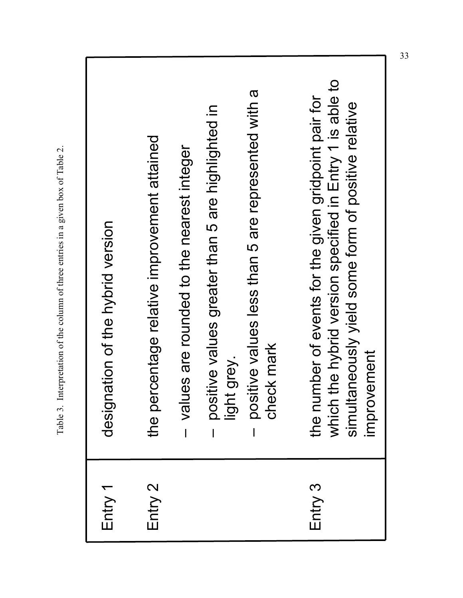| designation of the hybrid version | the percentage relative improvement attained | values are rounded to the nearest integer | positive values greater than 5 are highlighted in<br>light grey. | positive values less than 5 are represented with a<br>check mark |
|-----------------------------------|----------------------------------------------|-------------------------------------------|------------------------------------------------------------------|------------------------------------------------------------------|
| Entry 1                           | Entry 2                                      |                                           |                                                                  |                                                                  |

Table 3. Interpretation of the column of three entries in a given box of Table 2.

Table 3. Interpretation of the column of three entries in a given box of Table 2.

which the hybrid version specified in Entry 1 is able to which the hybrid version specified in Entry 1 is able to the number of events for the given gridpoint pair for Entry 3 the number of events for the given gridpoint pair for simultaneously yield some form of positive relative simultaneously yield some form of positive relative improvement improvement

Entry 3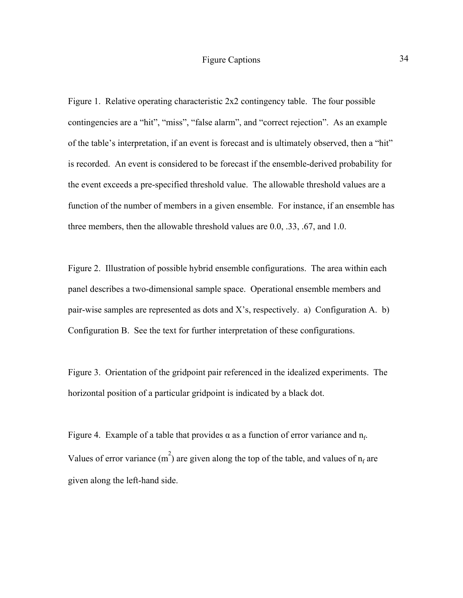Figure 1. Relative operating characteristic 2x2 contingency table. The four possible contingencies are a "hit", "miss", "false alarm", and "correct rejection". As an example of the table's interpretation, if an event is forecast and is ultimately observed, then a "hit" is recorded. An event is considered to be forecast if the ensemble-derived probability for the event exceeds a pre-specified threshold value. The allowable threshold values are a function of the number of members in a given ensemble. For instance, if an ensemble has three members, then the allowable threshold values are 0.0, .33, .67, and 1.0.

Figure 2. Illustration of possible hybrid ensemble configurations. The area within each panel describes a two-dimensional sample space. Operational ensemble members and pair-wise samples are represented as dots and X's, respectively. a) Configuration A. b) Configuration B. See the text for further interpretation of these configurations.

Figure 3. Orientation of the gridpoint pair referenced in the idealized experiments. The horizontal position of a particular gridpoint is indicated by a black dot.

Figure 4. Example of a table that provides  $\alpha$  as a function of error variance and  $n_f$ . Values of error variance  $(m^2)$  are given along the top of the table, and values of  $n_f$  are given along the left-hand side.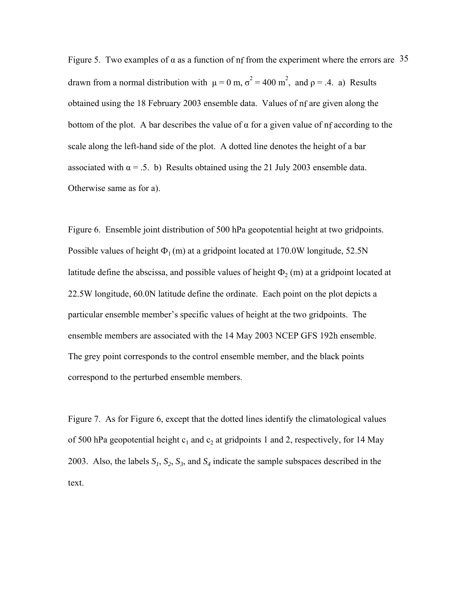Figure 5. Two examples of  $\alpha$  as a function of nf from the experiment where the errors are 35 drawn from a normal distribution with  $\mu = 0$  m,  $\sigma^2 = 400$  m<sup>2</sup>, and  $\rho = .4$ . a) Results obtained using the 18 February 2003 ensemble data. Values of nf are given along the bottom of the plot. A bar describes the value of  $\alpha$  for a given value of nf according to the scale along the left-hand side of the plot. A dotted line denotes the height of a bar associated with  $\alpha = .5$ . b) Results obtained using the 21 July 2003 ensemble data. Otherwise same as for a).

Figure 6. Ensemble joint distribution of 500 hPa geopotential height at two gridpoints. Possible values of height  $\Phi_1$  (m) at a gridpoint located at 170.0W longitude, 52.5N latitude define the abscissa, and possible values of height  $\Phi_2$  (m) at a gridpoint located at 22.5W longitude, 60.0N latitude define the ordinate. Each point on the plot depicts a particular ensemble member's specific values of height at the two gridpoints. The ensemble members are associated with the 14 May 2003 NCEP GFS 192h ensemble. The grey point corresponds to the control ensemble member, and the black points correspond to the perturbed ensemble members.

Figure 7. As for Figure 6, except that the dotted lines identify the climatological values of 500 hPa geopotential height  $c_1$  and  $c_2$  at gridpoints 1 and 2, respectively, for 14 May 2003. Also, the labels  $S_1$ ,  $S_2$ ,  $S_3$ , and  $S_4$  indicate the sample subspaces described in the text.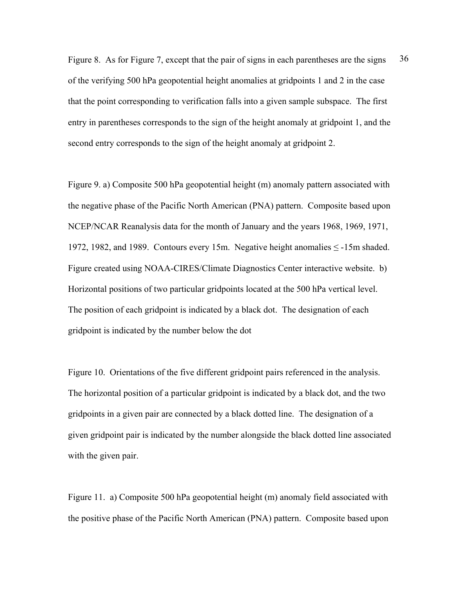Figure 8. As for Figure 7, except that the pair of signs in each parentheses are the signs 36 of the verifying 500 hPa geopotential height anomalies at gridpoints 1 and 2 in the case that the point corresponding to verification falls into a given sample subspace. The first entry in parentheses corresponds to the sign of the height anomaly at gridpoint 1, and the second entry corresponds to the sign of the height anomaly at gridpoint 2.

Figure 9. a) Composite 500 hPa geopotential height (m) anomaly pattern associated with the negative phase of the Pacific North American (PNA) pattern. Composite based upon NCEP/NCAR Reanalysis data for the month of January and the years 1968, 1969, 1971, 1972, 1982, and 1989. Contours every 15m. Negative height anomalies ≤ -15m shaded. Figure created using NOAA-CIRES/Climate Diagnostics Center interactive website. b) Horizontal positions of two particular gridpoints located at the 500 hPa vertical level. The position of each gridpoint is indicated by a black dot. The designation of each gridpoint is indicated by the number below the dot

Figure 10. Orientations of the five different gridpoint pairs referenced in the analysis. The horizontal position of a particular gridpoint is indicated by a black dot, and the two gridpoints in a given pair are connected by a black dotted line. The designation of a given gridpoint pair is indicated by the number alongside the black dotted line associated with the given pair.

Figure 11. a) Composite 500 hPa geopotential height (m) anomaly field associated with the positive phase of the Pacific North American (PNA) pattern. Composite based upon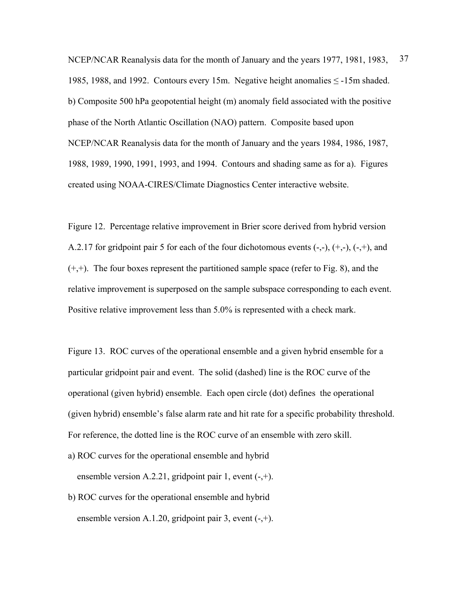NCEP/NCAR Reanalysis data for the month of January and the years 1977, 1981, 1983, 37 1985, 1988, and 1992. Contours every 15m. Negative height anomalies ≤ -15m shaded. b) Composite 500 hPa geopotential height (m) anomaly field associated with the positive phase of the North Atlantic Oscillation (NAO) pattern. Composite based upon NCEP/NCAR Reanalysis data for the month of January and the years 1984, 1986, 1987, 1988, 1989, 1990, 1991, 1993, and 1994. Contours and shading same as for a). Figures created using NOAA-CIRES/Climate Diagnostics Center interactive website.

Figure 12. Percentage relative improvement in Brier score derived from hybrid version A.2.17 for gridpoint pair 5 for each of the four dichotomous events  $(-, -), (+, -), (-, +),$  and  $(+,+)$ . The four boxes represent the partitioned sample space (refer to Fig. 8), and the relative improvement is superposed on the sample subspace corresponding to each event. Positive relative improvement less than 5.0% is represented with a check mark.

Figure 13. ROC curves of the operational ensemble and a given hybrid ensemble for a particular gridpoint pair and event. The solid (dashed) line is the ROC curve of the operational (given hybrid) ensemble. Each open circle (dot) defines the operational (given hybrid) ensemble's false alarm rate and hit rate for a specific probability threshold. For reference, the dotted line is the ROC curve of an ensemble with zero skill.

- a) ROC curves for the operational ensemble and hybrid ensemble version A.2.21, gridpoint pair 1, event  $(-,+)$ .
- b) ROC curves for the operational ensemble and hybrid ensemble version A.1.20, gridpoint pair 3, event  $(-,+)$ .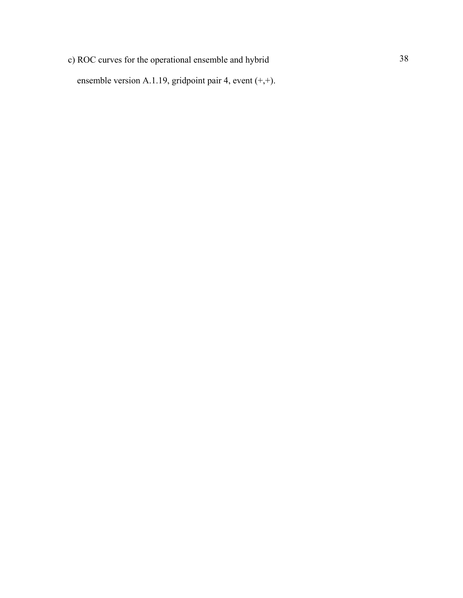c) ROC curves for the operational ensemble and hybrid 38 ensemble version A.1.19, gridpoint pair 4, event (+,+).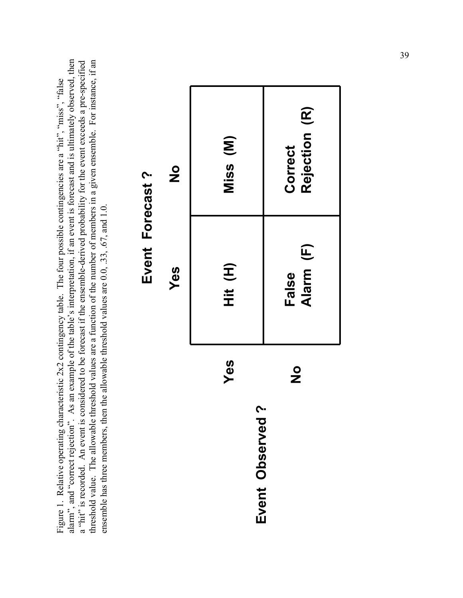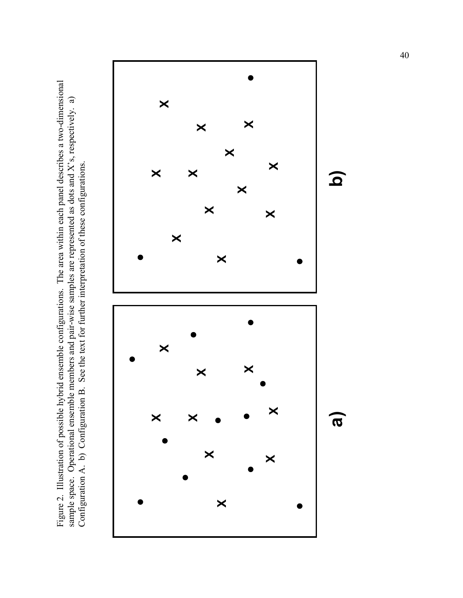Figure 2. Illustration of possible hybrid ensemble configurations. The area within each panel describes a two-dimensional sample space. Operational ensemble members and pair-wise samples are represented as dots and X's, respectively. a) Configuration A. b) Configuration B. See the text for further interpretation of these configurations.

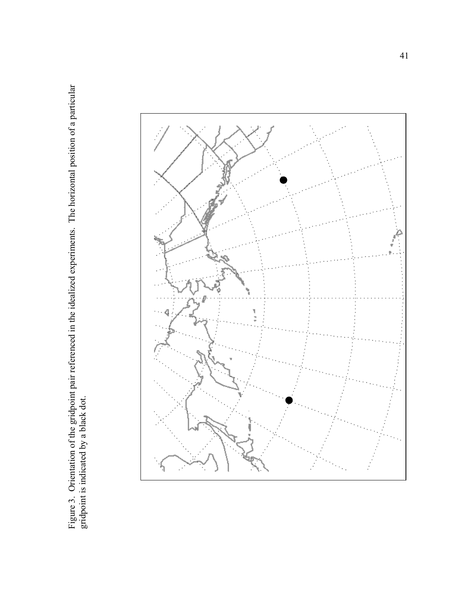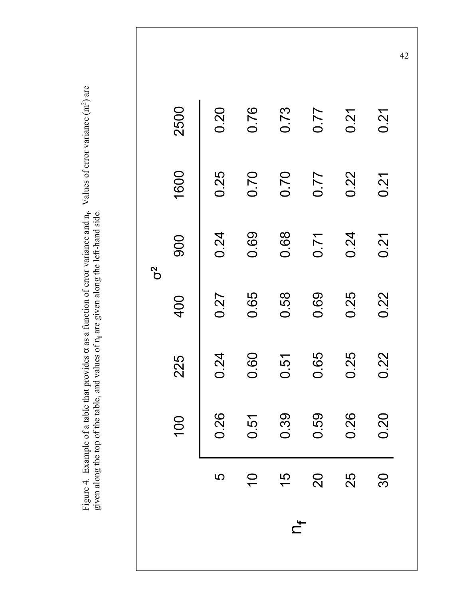Figure 4. Example of a table that provides  $\alpha$  as a function of error variance and n<sub>r</sub>. Values of error variance (m<sup>2</sup>) are Figure 4. Example of a table that provides  $\alpha$  as a function of error variance and n<sub>f</sub>. Values of error variance (m<sup>2</sup>) are given along the top of the table, and values of n<sub>f</sub> are given along the left-hand side. given along the top of the table, and values of n**f** are given along the left-hand side.

|                |                            |      |      | $\mathcal{C}^2$ |      |      |
|----------------|----------------------------|------|------|-----------------|------|------|
|                | $\mathsf{S}$               | 225  | 400  | 900             | 1600 | 2500 |
| <b>5</b>       | 26                         | 0.24 | 0.27 | 0.24            | 0.25 | 0.20 |
| $\overline{C}$ |                            | 0.60 | 0.65 | 0.69            | 0.70 | 0.76 |
| $\frac{15}{2}$ | $0.51$<br>$0.39$<br>$0.59$ | 0.51 | 0.58 | 0.68            | 0.70 | 0.73 |
| 20             |                            | 0.65 | 0.69 | 0.71            | 0.77 | 0.77 |
| 25             | 0.26                       | 0.25 | 0.25 | 0.24            | 0.22 | 0.21 |
| 30             | 0.20                       | 0.22 | 0.22 | 0.21            | 0.21 | 0.21 |

n**<sup>f</sup>**

42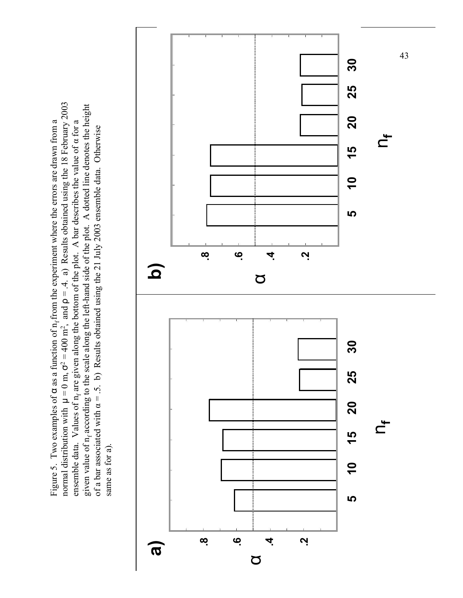normal distribution with  $\mu = 0$  m,  $\sigma^2 = 400$  m<sup>2</sup>, and  $\rho = .4$ . a) Results obtained using the 18 February 2003 normal distribution with  $\mu = 0$  m,  $\sigma^2 = 400$  m<sup>2</sup>, and  $\rho = 4$ . a) Results obtained using the 18 February 2003 given value of n<sub>f</sub> according to the scale along the left-hand side of the plot. A dotted line denotes the height given value of  $n_f$  according to the scale along the left-hand side of the plot. A dotted line denotes the height Figure 5. Two examples of  $\alpha$  as a function of  $n_f$  from the experiment where the errors are drawn from a Figure 5. Two examples of **a** as a function of n<sub>f</sub> from the experiment where the errors are drawn from a ensemble data. Values of n<sub>f</sub> are given along the bottom of the plot. A bar describes the value of a for a ensemble data. Values of n<sub>f</sub> are given along the bottom of the plot. A bar describes the value of  $\alpha$  for a of a bar associated with  $\alpha = .5$ . b) Results obtained using the 21 July 2003 ensemble data. Otherwise of a bar associated with  $\alpha = .5$ . b) Results obtained using the 21 July 2003 ensemble data. Otherwise same as for a). same as for a).

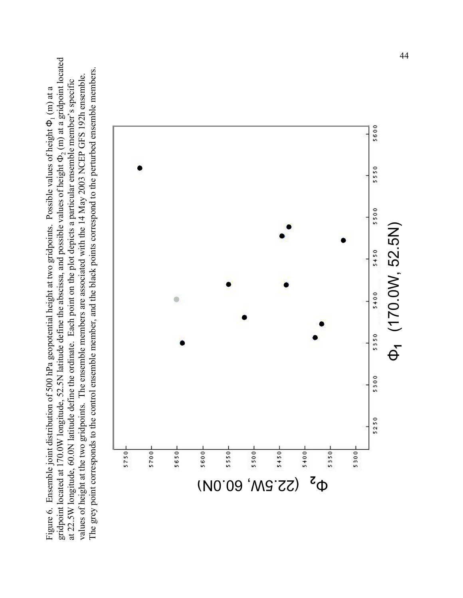gridpoint located at 170.0W longitude, 52.5N latitude define the abscissa, and possible values of height  $\Phi_2$  (m) at a gridpoint located gridpoint located at 170.0W longitude, 52.5N latitude define the abscissa, and possible values of height  $\Phi_2$  (m) at a gridpoint located The grey point corresponds to the control ensemble member, and the black points correspond to the perturbed ensemble members. The grey point corresponds to the control ensemble member, and the black points correspond to the perturbed ensemble members. values of height at the two gridpoints. The ensemble members are associated with the 14 May 2003 NCEP GFS 192h ensemble. values of height at the two gridpoints. The ensemble members are associated with the 14 May 2003 NCEP GFS 192h ensemble. at 22.5W longitude, 60.0N latitude define the ordinate. Each point on the plot depicts a particular ensemble member's specific at 22.5W longitude, 60.0N latitude define the ordinate. Each point on the plot depicts a particular ensemble member's specific Figure 6. Ensemble joint distribution of 500 hPa geopotential height at two gridpoints. Possible values of height  $\Phi_1$  (m) at a Figure 6. Ensemble joint distribution of 500 hPa geopotential height at two gridpoints. Possible values of height  $\Phi_1$  (m) at a

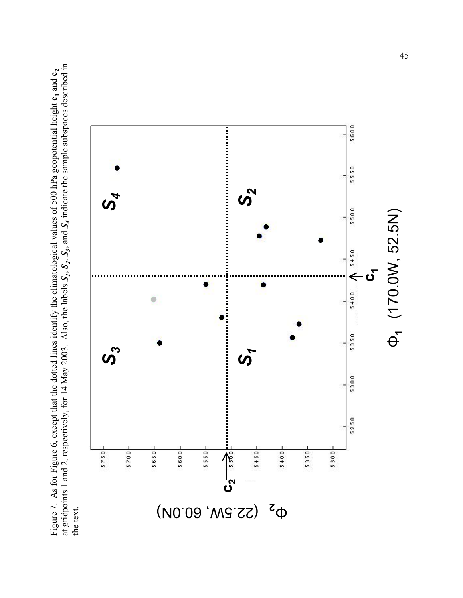at gridpoints 1 and 2, respectively, for 14 May 2003. Also, the labels *S1*, *S2*, *S3*, and *S4* indicate the sample subspaces described in at gridpoints 1 and 2, respectively, for 14 May 2003. Also, the labels  $S_1$ ,  $S_2$ ,  $S_3$ , and  $S_4$  indicate the sample subspaces described in Figure 7. As for Figure 6, except that the dotted lines identify the climatological values of 500 hPa geopotential height  $c_1$  and  $c_2$ Figure 7. As for Figure 6, except that the dotted lines identify the climatological values of 500 hPa geopotential height  $c_1$  and  $c_2$ the text.

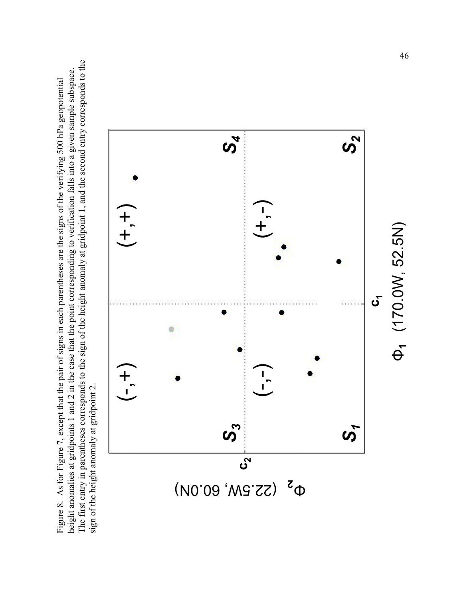The first entry in parentheses corresponds to the sign of the height anomaly at gridpoint 1, and the second entry corresponds to the The first entry in parentheses corresponds to the sign of the height anomaly at gridpoint 1, and the second entry corresponds to the height anomalies at gridpoints 1 and 2 in the case that the point corresponding to verification falls into a given sample subspace. height anomalies at gridpoints 1 and 2 in the case that the point corresponding to verification falls into a given sample subspace. Figure 8. As for Figure 7, except that the pair of signs in each parentheses are the signs of the verifying 500 hPa geopotential Figure 8. As for Figure 7, except that the pair of signs in each parentheses are the signs of the verifying 500 hPa geopotential sign of the height anomaly at gridpoint 2. sign of the height anomaly at gridpoint 2.

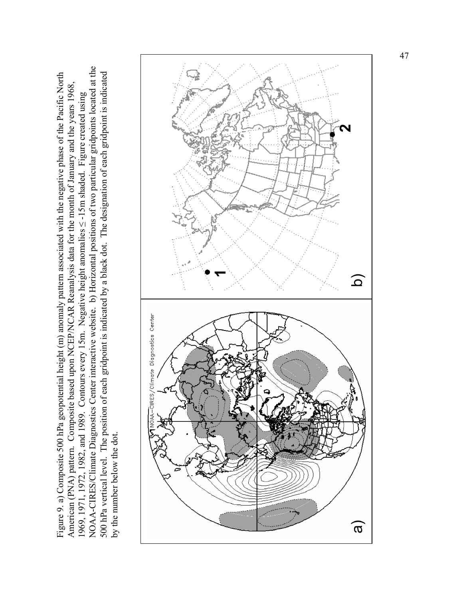NOAA-CIRES/Climate Diagnostics Center interactive website. b) Horizontal positions of two particular gridpoints located at the NOAA-CIRES/Climate Diagnostics Center interactive website. b) Horizontal positions of two particular gridpoints located at the Figure 9. a) Composite 500 hPa geopotential height (m) anomaly pattern associated with the negative phase of the Pacific North 500 hPa vertical level. The position of each gridpoint is indicated by a black dot. The designation of each gridpoint is indicated 500 hPa vertical level. The position of each gridpoint is indicated by a black dot. The designation of each gridpoint is indicated Figure 9. a) Composite 500 hPa geopotential height (m) anomaly pattern associated with the negative phase of the Pacific North American (PNA) pattern. Composite based upon NCEP/NCAR Reanalysis data for the month of January and the years 1968, American (PNA) pattern. Composite based upon NCEP/NCAR Reanalysis data for the month of January and the years 1968, 1969, 1971, 1972, 1982, and 1989. Contours every 15m. Negative height anomalies ≤ -15m shaded. Figure created using 1969, 1971, 1972, 1982, and 1989. Contours every 15m. Negative height anomalies  $\leq$ -15m shaded. Figure created using by the number below the dot. by the number below the dot.

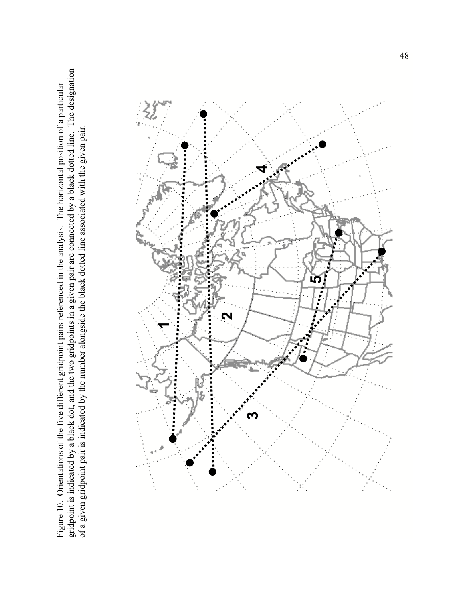gridpoint is indicated by a black dot, and the two gridpoints in a given pair are connected by a black dotted line. The designation gridpoint is indicated by a black dot, and the two gridpoints in a given pair are connected by a black dotted line. The designation Figure 10. Orientations of the five different gridpoint pairs referenced in the analysis. The horizontal position of a particular Figure 10. Orientations of the five different gridpoint pairs referenced in the analysis. The horizontal position of a particular of a given gridpoint pair is indicated by the number alongside the black dotted line associated with the given pair. of a given gridpoint pair is indicated by the number alongside the black dotted line associated with the given pair.

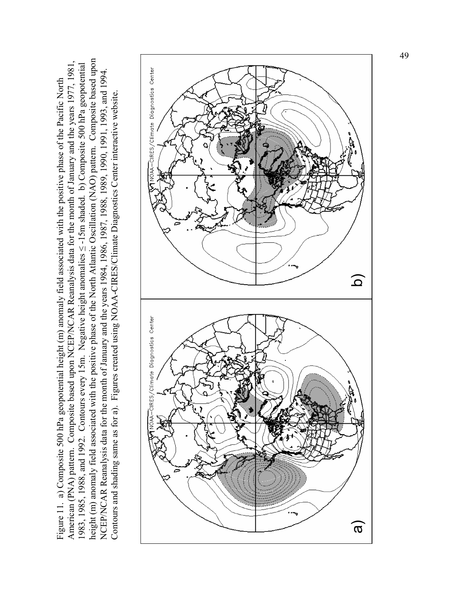height (m) anomaly field associated with the positive phase of the North Atlantic Oscillation (NAO) pattern. Composite based upon height (m) anomaly field associated with the positive phase of the North Atlantic Oscillation (NAO) pattern. Composite based upon American (PNA) pattern. Composite based upon NCEP/NCAR Reanalysis data for the month of January and the years 1977, 1981, 1983, 1985, 1988, and 1992. Contours every 15m. Negative height anomalies < -15m shaded. b) Composite 500 hPa geopotential 1983, 1985, 1988, and 1992. Contours every 15m. Negative height anomalies ≤ -15m shaded. b) Composite 500 hPa geopotential American (PNA) pattern. Composite based upon NCEP/NCAR Reanalysis data for the month of January and the years 1977, 1981 NCEP/NCAR Reanalysis data for the month of January and the years 1984, 1986, 1987, 1988, 1989, 1990, 1991, 1993, and 1994. NCEP/NCAR Reanalysis data for the month of January and the years 1984, 1986, 1987, 1988, 1989, 1990, 1991, 1993, and 1994. Figure 11. a) Composite 500 hPa geopotential height (m) anomaly field associated with the positive phase of the Pacific North Figure 11. a) Composite 500 hPa geopotential height (m) anomaly field associated with the positive phase of the Pacific North Contours and shading same as for a). Figures created using NOAA-CIRES/Climate Diagnostics Center interactive website. Contours and shading same as for a). Figures created using NOAA-CIRES/Climate Diagnostics Center interactive website.

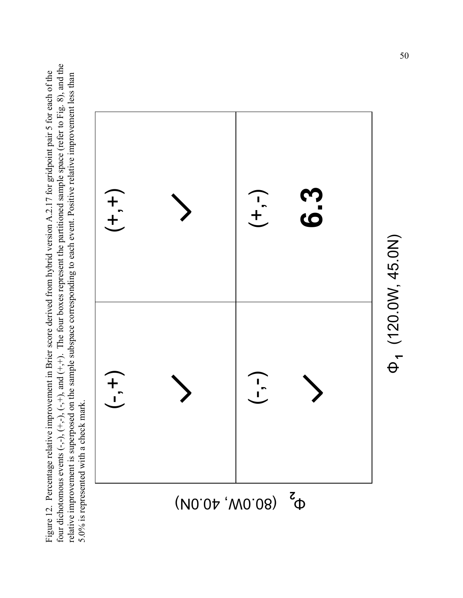four dichotomous events  $(-, -)$ ,  $(+, -)$ ,  $(-, +)$ , and  $(+, +)$ . The four boxes represent the partitioned sample space (refer to Fig. 8), and the four dichotomous events  $(-,-)$ ,  $(+,-)$ ,  $(+,+)$ , and  $(+,+)$ . The four boxes represent the partitioned sample space (refer to Fig. 8), and the Figure 12. Percentage relative improvement in Brier score derived from hybrid version A.2.17 for gridpoint pair 5 for each of the Figure 12. Percentage relative improvement in Brier score derived from hybrid version A.2.17 for gridpoint pair 5 for each of the relative improvement is superposed on the sample subspace corresponding to each event. Positive relative improvement less than relative improvement is superposed on the sample subspace corresponding to each event. Positive relative improvement less than 5.0% is represented with a check mark. 5.0% is represented with a check mark.



(120.0W, 45.0N) **1**